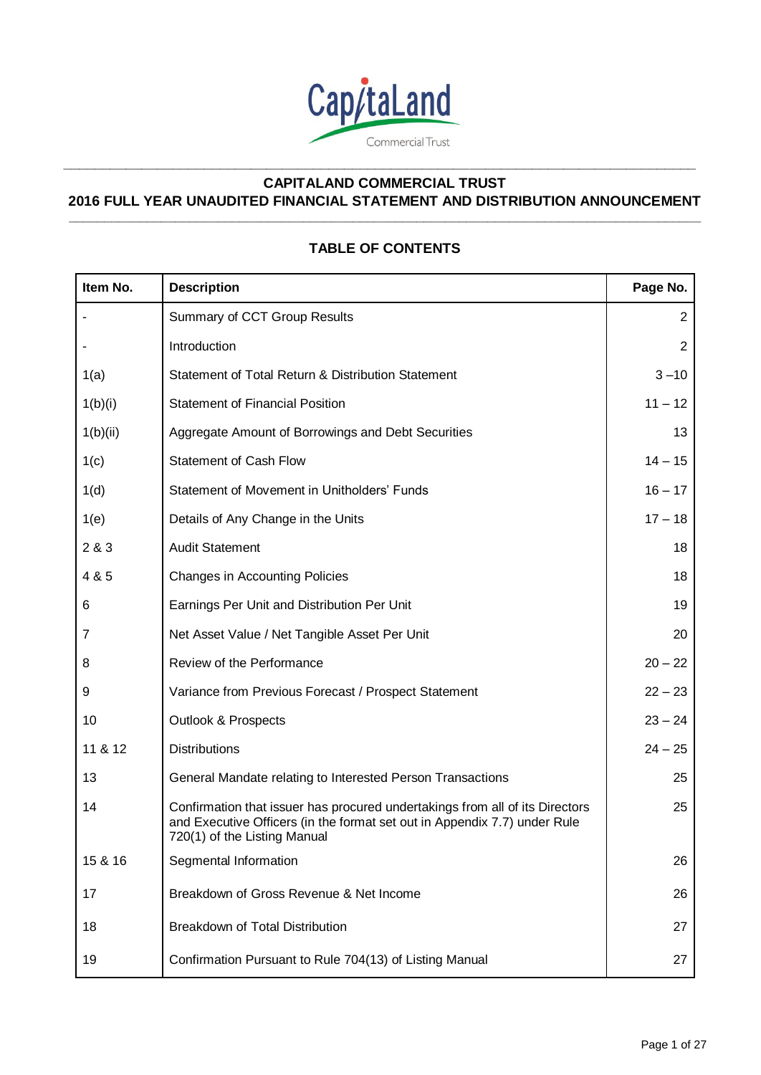

**\_\_\_\_\_\_\_\_\_\_\_\_\_\_\_\_\_\_\_\_\_\_\_\_\_\_\_\_\_\_\_\_\_\_\_\_\_\_\_\_\_\_\_\_\_\_\_\_\_\_\_\_\_\_\_\_\_\_\_\_\_\_\_\_\_\_\_\_\_\_\_\_\_\_\_\_\_\_\_\_\_**

# **CAPITALAND COMMERCIAL TRUST 2016 FULL YEAR UNAUDITED FINANCIAL STATEMENT AND DISTRIBUTION ANNOUNCEMENT \_\_\_\_\_\_\_\_\_\_\_\_\_\_\_\_\_\_\_\_\_\_\_\_\_\_\_\_\_\_\_\_\_\_\_\_\_\_\_\_\_\_\_\_\_\_\_\_\_\_\_\_\_\_\_\_\_\_\_\_\_\_\_\_\_\_\_\_\_\_\_\_\_\_\_\_\_\_\_\_\_\_\_\_\_\_\_\_\_**

# **TABLE OF CONTENTS**

| Item No. | <b>Description</b>                                                                                                                                                                        | Page No.       |
|----------|-------------------------------------------------------------------------------------------------------------------------------------------------------------------------------------------|----------------|
|          | Summary of CCT Group Results                                                                                                                                                              | $\overline{2}$ |
|          | Introduction                                                                                                                                                                              | $\overline{c}$ |
| 1(a)     | Statement of Total Return & Distribution Statement                                                                                                                                        | $3 - 10$       |
| 1(b)(i)  | <b>Statement of Financial Position</b>                                                                                                                                                    | $11 - 12$      |
| 1(b)(ii) | Aggregate Amount of Borrowings and Debt Securities                                                                                                                                        | 13             |
| 1(c)     | <b>Statement of Cash Flow</b>                                                                                                                                                             | $14 - 15$      |
| 1(d)     | Statement of Movement in Unitholders' Funds                                                                                                                                               | $16 - 17$      |
| 1(e)     | Details of Any Change in the Units                                                                                                                                                        | $17 - 18$      |
| 2 & 3    | <b>Audit Statement</b>                                                                                                                                                                    | 18             |
| 4 & 5    | <b>Changes in Accounting Policies</b>                                                                                                                                                     | 18             |
| 6        | Earnings Per Unit and Distribution Per Unit                                                                                                                                               | 19             |
| 7        | Net Asset Value / Net Tangible Asset Per Unit                                                                                                                                             | 20             |
| 8        | Review of the Performance                                                                                                                                                                 | $20 - 22$      |
| 9        | Variance from Previous Forecast / Prospect Statement                                                                                                                                      | $22 - 23$      |
| 10       | <b>Outlook &amp; Prospects</b>                                                                                                                                                            | $23 - 24$      |
| 11 & 12  | <b>Distributions</b>                                                                                                                                                                      | $24 - 25$      |
| 13       | General Mandate relating to Interested Person Transactions                                                                                                                                | 25             |
| 14       | Confirmation that issuer has procured undertakings from all of its Directors<br>and Executive Officers (in the format set out in Appendix 7.7) under Rule<br>720(1) of the Listing Manual | 25             |
| 15 & 16  | Segmental Information                                                                                                                                                                     | 26             |
| 17       | Breakdown of Gross Revenue & Net Income                                                                                                                                                   | 26             |
| 18       | Breakdown of Total Distribution                                                                                                                                                           | 27             |
| 19       | Confirmation Pursuant to Rule 704(13) of Listing Manual                                                                                                                                   | 27             |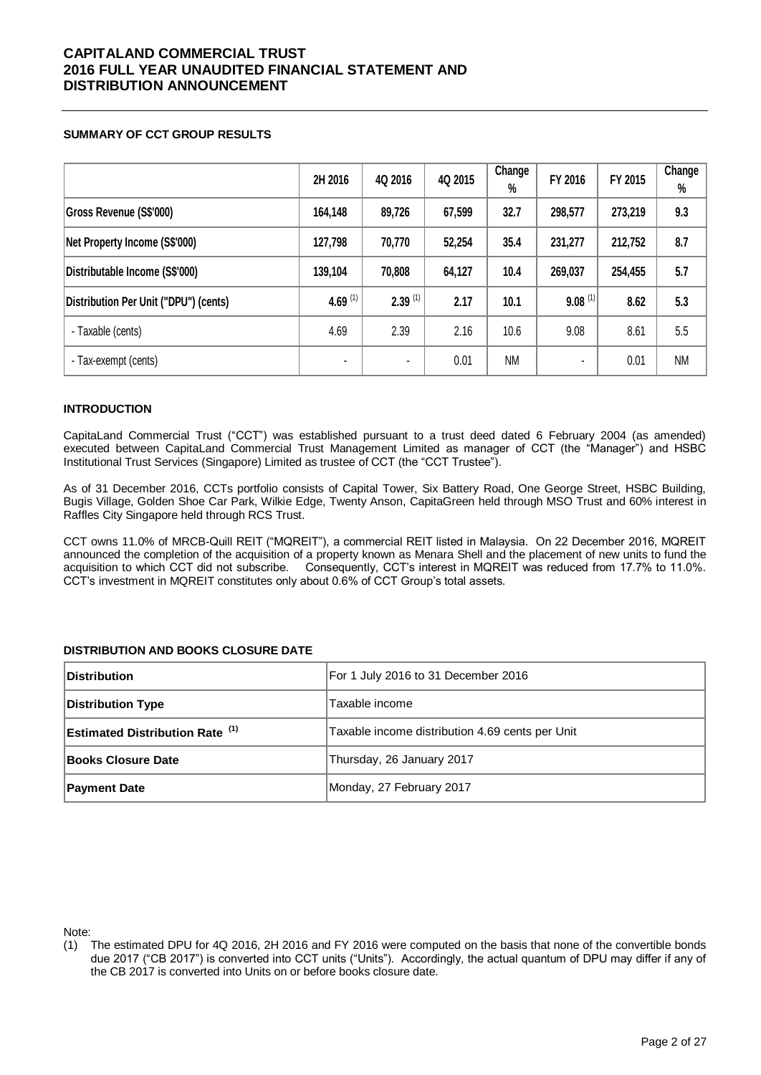## **SUMMARY OF CCT GROUP RESULTS**

|                                       | 2H 2016    | 4Q 2016               | 4Q 2015 | Change<br>% | FY 2016        | FY 2015 | Change<br>$\%$ |
|---------------------------------------|------------|-----------------------|---------|-------------|----------------|---------|----------------|
| <b>Gross Revenue (S\$'000)</b>        | 164,148    | 89,726                | 67,599  | 32.7        | 298,577        | 273,219 | 9.3            |
| Net Property Income (S\$'000)         | 127,798    | 70,770                | 52,254  | 35.4        | 231,277        | 212,752 | 8.7            |
| Distributable Income (S\$'000)        | 139,104    | 70,808                | 64,127  | 10.4        | 269,037        | 254,455 | 5.7            |
| Distribution Per Unit ("DPU") (cents) | 4.69 $(1)$ | $2.39$ <sup>(1)</sup> | 2.17    | 10.1        | $9.08^{(1)}$   | 8.62    | 5.3            |
| - Taxable (cents)                     | 4.69       | 2.39                  | 2.16    | 10.6        | 9.08           | 8.61    | 5.5            |
| - Tax-exempt (cents)                  |            | ۰                     | 0.01    | <b>NM</b>   | $\blacksquare$ | 0.01    | <b>NM</b>      |

## **INTRODUCTION**

CapitaLand Commercial Trust ("CCT") was established pursuant to a trust deed dated 6 February 2004 (as amended) executed between CapitaLand Commercial Trust Management Limited as manager of CCT (the "Manager") and HSBC Institutional Trust Services (Singapore) Limited as trustee of CCT (the "CCT Trustee").

As of 31 December 2016, CCTs portfolio consists of Capital Tower, Six Battery Road, One George Street, HSBC Building, Bugis Village, Golden Shoe Car Park, Wilkie Edge, Twenty Anson, CapitaGreen held through MSO Trust and 60% interest in Raffles City Singapore held through RCS Trust.

CCT owns 11.0% of MRCB-Quill REIT ("MQREIT"), a commercial REIT listed in Malaysia. On 22 December 2016, MQREIT announced the completion of the acquisition of a property known as Menara Shell and the placement of new units to fund the acquisition to which CCT did not subscribe. Consequently, CCT's interest in MQREIT was reduced from 17.7% to 11.0%. CCT's investment in MQREIT constitutes only about 0.6% of CCT Group's total assets.

## **DISTRIBUTION AND BOOKS CLOSURE DATE**

| <b>Distribution</b>                    | For 1 July 2016 to 31 December 2016             |
|----------------------------------------|-------------------------------------------------|
| Distribution Type                      | Taxable income                                  |
| <b>Estimated Distribution Rate (1)</b> | Taxable income distribution 4.69 cents per Unit |
| <b>Books Closure Date</b>              | Thursday, 26 January 2017                       |
| <b>Payment Date</b>                    | Monday, 27 February 2017                        |

Note:

<sup>(1)</sup> The estimated DPU for 4Q 2016, 2H 2016 and FY 2016 were computed on the basis that none of the convertible bonds due 2017 ("CB 2017") is converted into CCT units ("Units"). Accordingly, the actual quantum of DPU may differ if any of the CB 2017 is converted into Units on or before books closure date.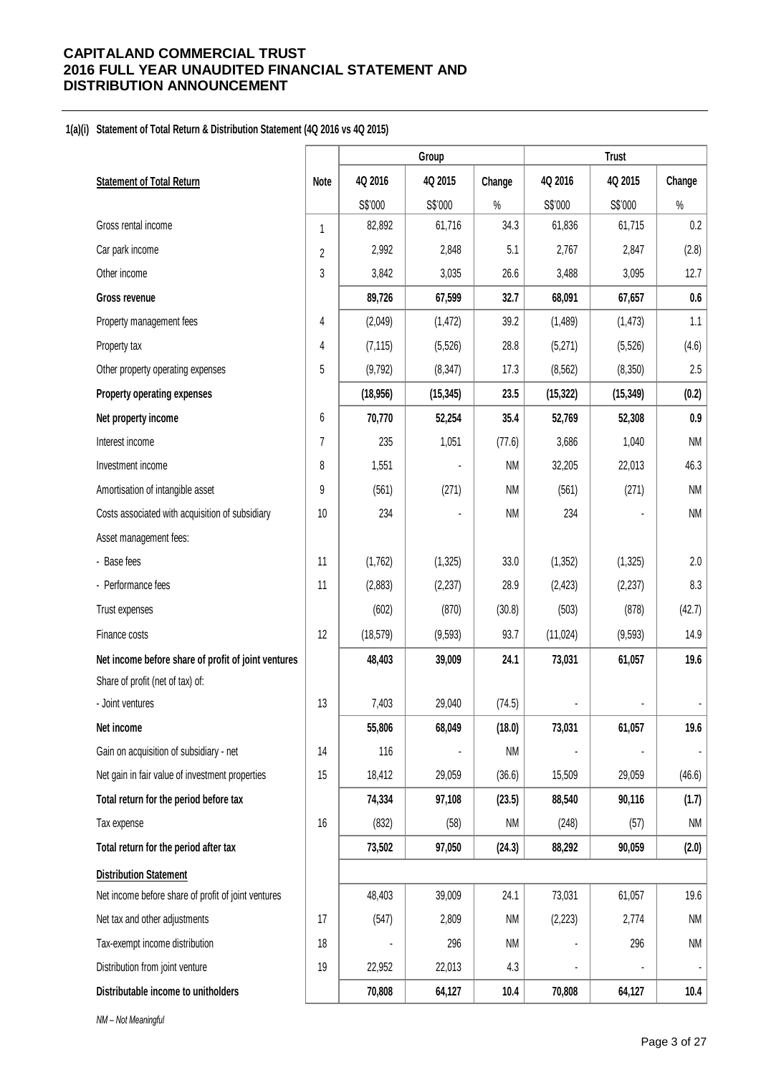### **1(a)(i) Statement of Total Return & Distribution Statement (4Q 2016 vs 4Q 2015)**

|                                                     |                  |           | Group     |           |           | <b>Trust</b> |           |
|-----------------------------------------------------|------------------|-----------|-----------|-----------|-----------|--------------|-----------|
| <b>Statement of Total Return</b>                    | <b>Note</b>      | 4Q 2016   | 4Q 2015   | Change    | 4Q 2016   | 4Q 2015      | Change    |
|                                                     |                  | S\$'000   | S\$'000   | $\%$      | S\$'000   | S\$'000      | $\%$      |
| Gross rental income                                 | 1                | 82,892    | 61,716    | 34.3      | 61,836    | 61,715       | 0.2       |
| Car park income                                     | $\overline{2}$   | 2,992     | 2,848     | 5.1       | 2,767     | 2,847        | (2.8)     |
| Other income                                        | 3                | 3,842     | 3,035     | 26.6      | 3,488     | 3,095        | 12.7      |
| Gross revenue                                       |                  | 89,726    | 67,599    | 32.7      | 68,091    | 67,657       | 0.6       |
| Property management fees                            | 4                | (2,049)   | (1, 472)  | 39.2      | (1,489)   | (1, 473)     | 1.1       |
| Property tax                                        | 4                | (7, 115)  | (5, 526)  | 28.8      | (5,271)   | (5, 526)     | (4.6)     |
| Other property operating expenses                   | 5                | (9,792)   | (8, 347)  | 17.3      | (8, 562)  | (8,350)      | 2.5       |
| Property operating expenses                         |                  | (18, 956) | (15, 345) | 23.5      | (15, 322) | (15, 349)    | (0.2)     |
| Net property income                                 | $\boldsymbol{6}$ | 70,770    | 52,254    | 35.4      | 52,769    | 52,308       | $0.9\,$   |
| Interest income                                     | 7                | 235       | 1,051     | (77.6)    | 3,686     | 1,040        | <b>NM</b> |
| Investment income                                   | 8                | 1,551     |           | <b>NM</b> | 32,205    | 22,013       | 46.3      |
| Amortisation of intangible asset                    | 9                | (561)     | (271)     | <b>NM</b> | (561)     | (271)        | <b>NM</b> |
| Costs associated with acquisition of subsidiary     | 10               | 234       |           | <b>NM</b> | 234       |              | <b>NM</b> |
| Asset management fees:                              |                  |           |           |           |           |              |           |
| - Base fees                                         | 11               | (1,762)   | (1, 325)  | 33.0      | (1, 352)  | (1, 325)     | $2.0\,$   |
| - Performance fees                                  | 11               | (2,883)   | (2, 237)  | 28.9      | (2, 423)  | (2, 237)     | 8.3       |
| Trust expenses                                      |                  | (602)     | (870)     | (30.8)    | (503)     | (878)        | (42.7)    |
| Finance costs                                       | 12               | (18, 579) | (9, 593)  | 93.7      | (11, 024) | (9, 593)     | 14.9      |
| Net income before share of profit of joint ventures |                  | 48,403    | 39,009    | 24.1      | 73,031    | 61,057       | 19.6      |
| Share of profit (net of tax) of:                    |                  |           |           |           |           |              |           |
| - Joint ventures                                    | 13               | 7,403     | 29,040    | (74.5)    |           |              |           |
| Net income                                          |                  | 55,806    | 68,049    | (18.0)    | 73,031    | 61,057       | 19.6      |
| Gain on acquisition of subsidiary - net             | 14               | 116       |           | <b>NM</b> |           |              |           |
| Net gain in fair value of investment properties     | 15               | 18,412    | 29,059    | (36.6)    | 15,509    | 29,059       | (46.6)    |
| Total return for the period before tax              |                  | 74,334    | 97,108    | (23.5)    | 88,540    | 90,116       | (1.7)     |
| Tax expense                                         | 16               | (832)     | (58)      | <b>NM</b> | (248)     | (57)         | NM        |
| Total return for the period after tax               |                  | 73,502    | 97,050    | (24.3)    | 88,292    | 90,059       | (2.0)     |
| <b>Distribution Statement</b>                       |                  |           |           |           |           |              |           |
| Net income before share of profit of joint ventures |                  | 48,403    | 39,009    | 24.1      | 73,031    | 61,057       | 19.6      |
| Net tax and other adjustments                       | 17               | (547)     | 2,809     | NM        | (2, 223)  | 2,774        | NM        |
| Tax-exempt income distribution                      | 18               |           | 296       | <b>NM</b> |           | 296          | <b>NM</b> |
| Distribution from joint venture                     | 19               | 22,952    | 22,013    | 4.3       |           |              |           |
| Distributable income to unitholders                 |                  | 70,808    | 64,127    | 10.4      | 70,808    | 64,127       | 10.4      |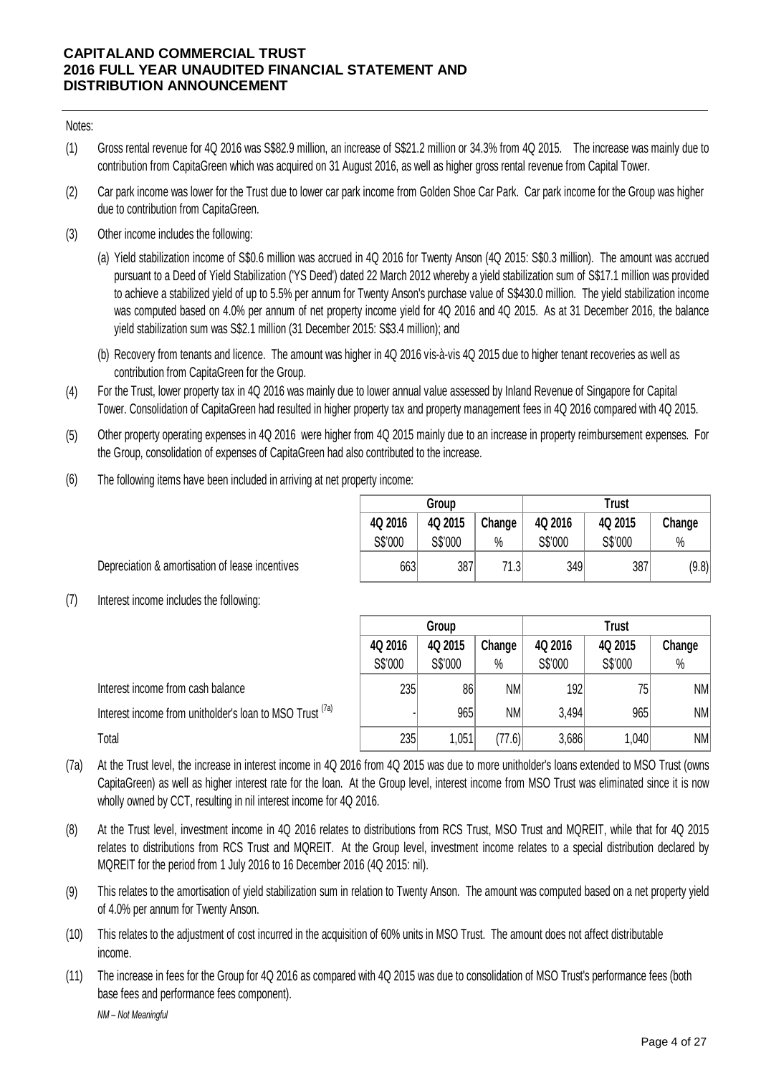Notes:

- (1) Gross rental revenue for 4Q 2016 was S\$82.9 million, an increase of S\$21.2 million or 34.3% from 4Q 2015. The increase was mainly due to contribution from CapitaGreen which was acquired on 31 August 2016, as well as higher gross rental revenue from Capital Tower.
- (2) Car park income was lower for the Trust due to lower car park income from Golden Shoe Car Park. Car park income for the Group was higher due to contribution from CapitaGreen.
- (3) Other income includes the following:
- (a) park income was lower for the Trust due to lower car park income from Golden Shoe Car Park. Car park income for the Group was higher<br>to contribution from CapitaGreen.<br>Final stabilization income of S\$0.6 million was accrued pursuant to a Deed of Yield Stabilization ('YS Deed') dated 22 March 2012 whereby a yield stabilization sum of S\$17.1 million was provided to achieve a stabilized yield of up to 5.5% per annum for Twenty Anson's purchase value of S\$430.0 million. The yield stabilization income was computed based on 4.0% per annum of net property income yield for 4Q 2016 and 4Q 2015. As at 31 December 2016, the balance yield stabilization sum was S\$2.1 million (31 December 2015: S\$3.4 million); and
	- (b) Recovery from tenants and licence. The amount was higher in 4Q 2016 vis-à-vis 4Q 2015 due to higher tenant recoveries as well as contribution from CapitaGreen for the Group.
- (4) contribution from CapitaGreen for the Group.<br>
For the Trust, lower property tax in 4Q 2016 was mainly due to lower annual value assessed by Inland Revenue of Singapore for Capital<br>
Tower. Consolidation of CapitaGreen had r For the Trust, lower property tax in 4Q 2016 was mainly due to lower annual value assessed by Inland Revenue of Singapore for Capital Tower. Consolidation of CapitaGreen had resulted in higher property tax and property management fees in 4Q 2016 compared with 4Q 2015.
- (5) the Group, consolidation of expenses of CapitaGreen had also contributed to the increase.
- (6) The following items have been included in arriving at net property income:

|         | Group           |        | <b>Trust</b> |         |        |  |  |  |
|---------|-----------------|--------|--------------|---------|--------|--|--|--|
| 4Q 2016 | 4Q 2015         | Change | 4Q 2016      | 4Q 2015 | Change |  |  |  |
| S\$'000 | S\$'000<br>$\%$ |        | S\$'000      | S\$'000 |        |  |  |  |
| 663     | 387             | 71.3   | 349          | 387     | (9.8)  |  |  |  |

Depreciation & amortisation of lease incentives

(7) Interest income includes the following:

|                                                                                                                                            | Group   |         |           |         |         |           |
|--------------------------------------------------------------------------------------------------------------------------------------------|---------|---------|-----------|---------|---------|-----------|
|                                                                                                                                            | 4Q 2016 | 4Q 2015 | Change    | 4Q 2016 | 4Q 2015 | Change    |
|                                                                                                                                            | S\$'000 | S\$'000 | $\%$      | S\$'000 | S\$'000 | $\%$      |
| Interest income from cash balance                                                                                                          | 235     | 86      | <b>NM</b> | 192     | 75      | NM        |
| Interest income from unitholder's loan to MSO Trust (a)                                                                                    |         | 965     | <b>NM</b> | 3,494   | 965     | NM        |
| Total                                                                                                                                      | 235     | 1,051   | (77.6)    | 3,686   | 1,040   | <b>NM</b> |
| At the Trust level, the increase in interest income in 4Q 2016 from 4Q 2015 was due to more unitholder's loans extended to MSO Trust (owns |         |         |           |         |         |           |

- (7a) CapitaGreen) as well as higher interest rate for the loan. At the Group level, interest income from MSO Trust was eliminated since it is now wholly owned by CCT, resulting in nil interest income for 4Q 2016. At the Trust level, the increase in interest income in 4Q 2016 from 4Q 2015 was due to more unitholder's loans extended to MSO Trust (owns<br>CapitaGreen) as well as higher interest rate for the loan. At the Group level, inte
- (8) At the Trust level, investment income in 4Q 2016 relates to distributions from RCS Trust, MSO Trust and MQREIT, while that for 4Q 2015<br>relates to distributions from RCS Trust and MQREIT. At the Group level, investment inco relates to distributions from RCS Trust and MQREIT. At the Group level, investment income relates to a special distribution declared by MQREIT for the period from 1 July 2016 to 16 December 2016 (4Q 2015: nil).
- (9) of 4.0% per annum for Twenty Anson.
- (10) This relates to the adjustment of cost incurred in the acquisition of 60% units in MSO Trust. The amount does not affect distributable income.
- (11) The increase in fees for the Group for 4Q 2016 as compared with 4Q 2015 was due to consolidation of MSO Trust's performance fees (both base fees and performance fees component).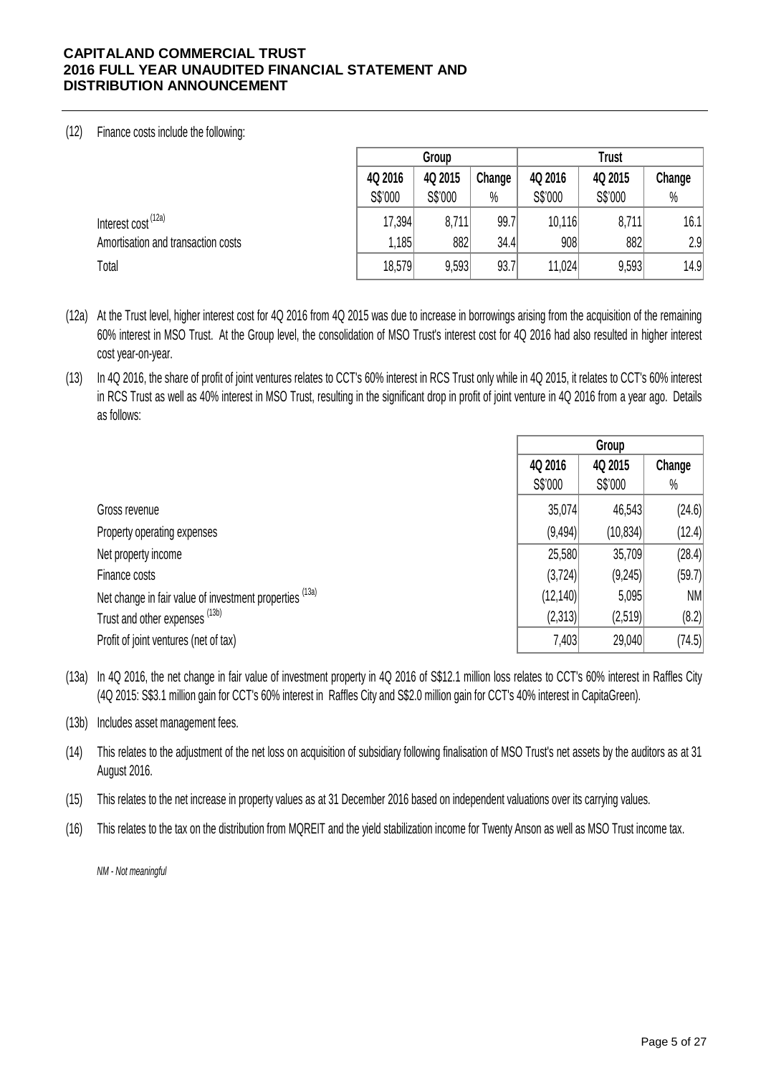# (12) Finance costs include the following:

|                                    |         | Group   |        |         | <b>Trust</b> |        |
|------------------------------------|---------|---------|--------|---------|--------------|--------|
|                                    | 4Q 2016 | 4Q 2015 | Change | 4Q 2016 | 4Q 2015      | Change |
|                                    | S\$'000 | S\$'000 | $\%$   | S\$'000 | S\$'000      | $\%$   |
| Interest cost <sup>(12a)</sup>     | 17,394  | 8,711   | 99.7   | 10,116  | 8,711        | 16.1   |
| Amortisation and transaction costs | 1,185   | 882     | 34.4   | 908     | 882          | 2.9    |
| Total                              | 18,579  | 9,593   | 93.7   | 11,024  | 9,593        | 14.9   |

- (12a) At the Trust level, higher interest cost for 4Q 2016 from 4Q 2015 was due to increase in borrowings arising from the acquisition of the remaining 60% interest in MSO Trust. At the Group level, the consolidation of MSO Trust's interest cost for 4Q 2016 had also resulted in higher interest cost year-on-year.
- (13) In 4Q 2016, the share of profit of joint ventures relates to CCT's 60% interest in RCS Trust only while in 4Q 2015, it relates to CCT's 60% interest in RCS Trust as well as 40% interest in MSO Trust, resulting in the significant drop in profit of joint venture in 4Q 2016 from a year ago. Details as follows:

|                                                                    |          | Group     |        |
|--------------------------------------------------------------------|----------|-----------|--------|
|                                                                    | 4Q 2016  | 4Q 2015   | Change |
|                                                                    | S\$'000  | S\$'000   | $\%$   |
| Gross revenue                                                      | 35,074   | 46,543    | (24.6) |
| Property operating expenses                                        | (9, 494) | (10, 834) | (12.4) |
| Net property income                                                | 25,580   | 35,709    | (28.4) |
| Finance costs                                                      | (3, 724) | (9,245)   | (59.7) |
| Net change in fair value of investment properties <sup>(13a)</sup> | (12,140) | 5,095     | NM     |
| Trust and other expenses (13b)                                     | (2,313)  | (2,519)   | (8.2)  |
| Profit of joint ventures (net of tax)                              | 7,403    | 29,040    | (74.5) |

(13a) In 4Q 2016, the net change in fair value of investment property in 4Q 2016 of S\$12.1 million loss relates to CCT's 60% interest in Raffles City (4Q 2015: S\$3.1 million gain for CCT's 60% interest in Raffles City and S\$2.0 million gain for CCT's 40% interest in CapitaGreen).

(13b) Includes asset management fees.

- (14) This relates to the adjustment of the net loss on acquisition of subsidiary following finalisation of MSO Trust's net assets by the auditors as at 31 August 2016.
- (15) This relates to the net increase in property values as at 31 December 2016 based on independent valuations over its carrying values.
- (16) This relates to the tax on the distribution from MQREIT and the yield stabilization income for Twenty Anson as well as MSO Trust income tax.

*NM - Not meaningful*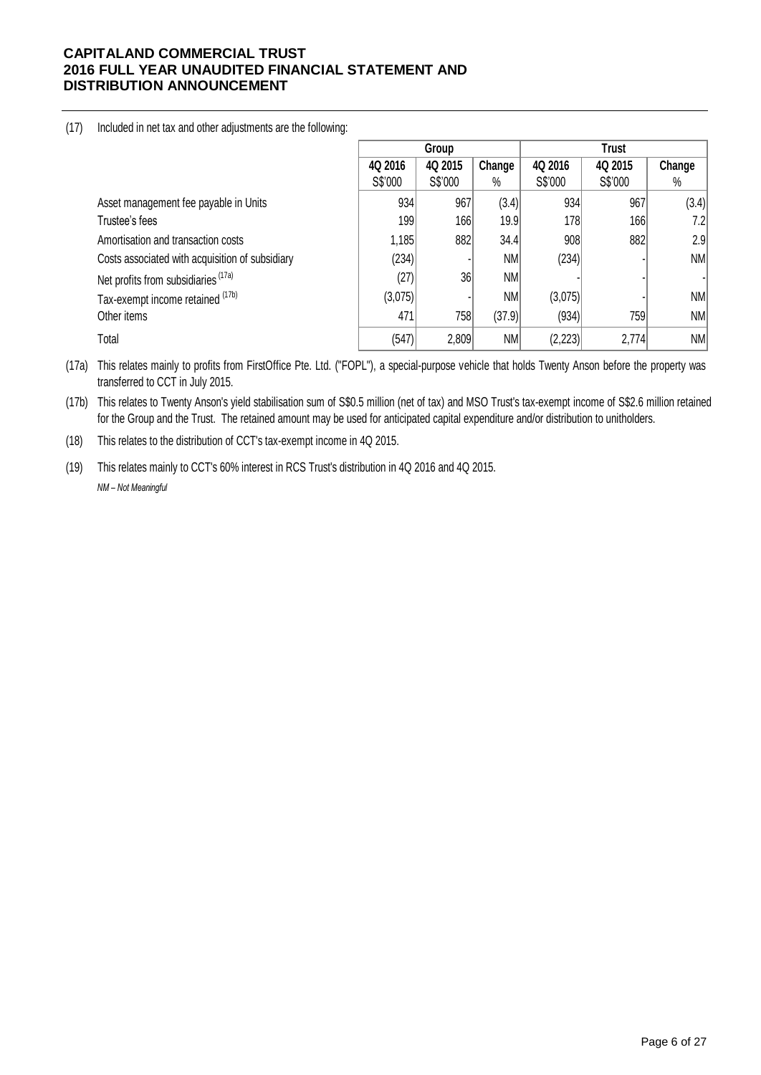(17) Included in net tax and other adjustments are the following:

|                                                 | Group   |         |           |          |         |        |
|-------------------------------------------------|---------|---------|-----------|----------|---------|--------|
|                                                 | 4Q 2016 | 4Q 2015 | Change    | 4Q 2016  | 4Q 2015 | Change |
|                                                 | S\$'000 | S\$'000 | $\%$      | S\$'000  | S\$'000 | $\%$   |
| Asset management fee payable in Units           | 934     | 967     | (3.4)     | 934      | 967     | (3.4)  |
| Trustee's fees                                  | 199     | 166     | 19.9      | 178      | 166     | 7.2    |
| Amortisation and transaction costs              | .185    | 882     | 34.4      | 908      | 882     | 2.9    |
| Costs associated with acquisition of subsidiary | (234)   |         | NM        | (234)    |         | NM     |
| Net profits from subsidiaries (17a)             | (27)    | 36      | <b>NM</b> |          |         |        |
| Tax-exempt income retained (17b)                | (3,075) |         | <b>NM</b> | (3,075)  |         | NM     |
| Other items                                     | 471     | 758     | (37.9)    | (934)    | 759     | NM     |
| Total                                           | (547)   | 2,809   | <b>NM</b> | (2, 223) | 2,774   | NM     |

(17a) This relates mainly to profits from FirstOffice Pte. Ltd. ("FOPL"), a special-purpose vehicle that holds Twenty Anson before the property was transferred to CCT in July 2015.

(17b) This relates to Twenty Anson's yield stabilisation sum of S\$0.5 million (net of tax) and MSO Trust's tax-exempt income of S\$2.6 million retained for the Group and the Trust. The retained amount may be used for anticipated capital expenditure and/or distribution to unitholders.

(18) This relates to the distribution of CCT's tax-exempt income in 4Q 2015.

(19) This relates mainly to CCT's 60% interest in RCS Trust's distribution in 4Q 2016 and 4Q 2015. *NM – Not Meaningful*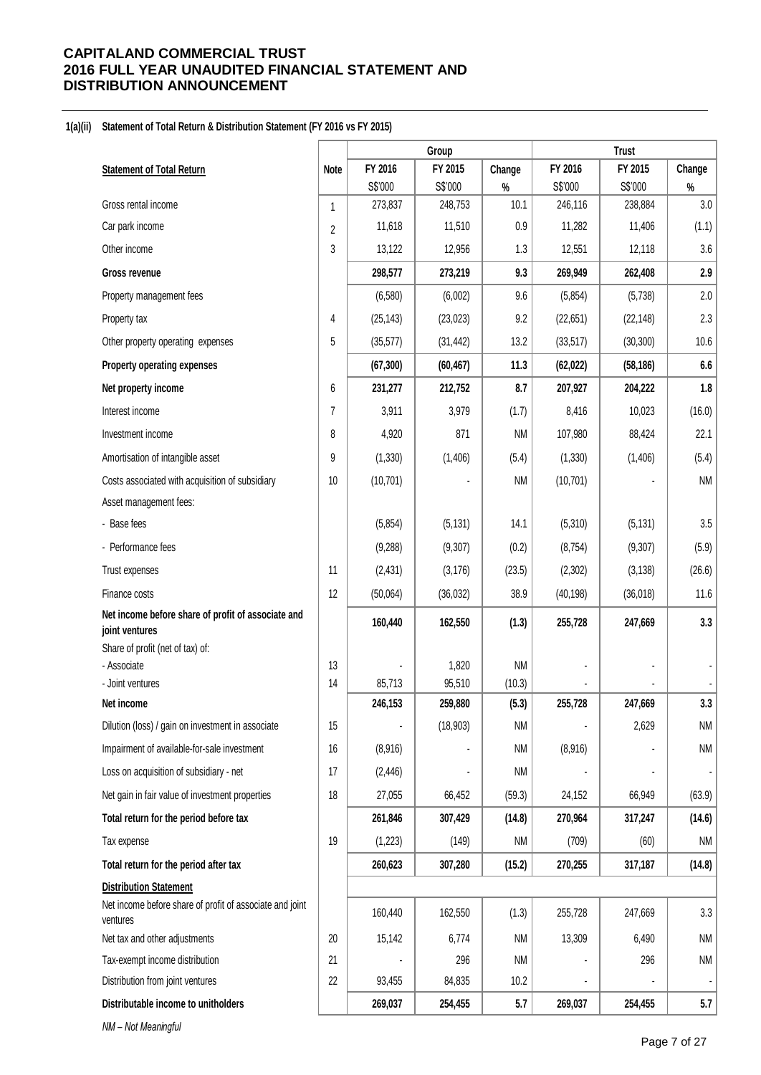### **1(a)(ii) Statement of Total Return & Distribution Statement (FY 2016 vs FY 2015)**

|                                                                                           |              | Group             |                   | <b>Trust</b>    |           |           |           |
|-------------------------------------------------------------------------------------------|--------------|-------------------|-------------------|-----------------|-----------|-----------|-----------|
| <b>Statement of Total Return</b>                                                          | Note         | FY 2016           | FY 2015           | Change          | FY 2016   | FY 2015   | Change    |
|                                                                                           |              | S\$'000           | S\$'000           | $\%$            | S\$'000   | S\$'000   | $\%$      |
| Gross rental income                                                                       | $\mathbf{1}$ | 273,837           | 248,753           | 10.1            | 246,116   | 238,884   | $3.0\,$   |
| Car park income                                                                           | 2            | 11,618            | 11,510            | 0.9             | 11,282    | 11,406    | (1.1)     |
| Other income                                                                              | 3            | 13,122            | 12,956            | 1.3             | 12,551    | 12,118    | 3.6       |
| Gross revenue                                                                             |              | 298,577           | 273,219           | 9.3             | 269,949   | 262,408   | 2.9       |
| Property management fees                                                                  |              | (6, 580)          | (6,002)           | 9.6             | (5,854)   | (5,738)   | 2.0       |
| Property tax                                                                              | 4            | (25, 143)         | (23, 023)         | 9.2             | (22, 651) | (22, 148) | 2.3       |
| Other property operating expenses                                                         | 5            | (35, 577)         | (31, 442)         | 13.2            | (33, 517) | (30, 300) | 10.6      |
| Property operating expenses                                                               |              | (67, 300)         | (60, 467)         | 11.3            | (62, 022) | (58, 186) | 6.6       |
| Net property income                                                                       | 6            | 231,277           | 212,752           | 8.7             | 207,927   | 204,222   | 1.8       |
| Interest income                                                                           | 7            | 3,911             | 3,979             | (1.7)           | 8,416     | 10,023    | (16.0)    |
| Investment income                                                                         | 8            | 4,920             | 871               | <b>NM</b>       | 107,980   | 88,424    | 22.1      |
| Amortisation of intangible asset                                                          | 9            | (1, 330)          | (1, 406)          | (5.4)           | (1, 330)  | (1,406)   | (5.4)     |
| Costs associated with acquisition of subsidiary                                           | 10           | (10, 701)         |                   | <b>NM</b>       | (10, 701) |           | <b>NM</b> |
| Asset management fees:                                                                    |              |                   |                   |                 |           |           |           |
| - Base fees                                                                               |              | (5, 854)          | (5, 131)          | 14.1            | (5,310)   | (5, 131)  | 3.5       |
| - Performance fees                                                                        |              | (9, 288)          | (9,307)           | (0.2)           | (8, 754)  | (9, 307)  | (5.9)     |
| Trust expenses                                                                            | 11           | (2, 431)          | (3, 176)          | (23.5)          | (2,302)   | (3, 138)  | (26.6)    |
| Finance costs                                                                             | 12           | (50,064)          | (36,032)          | 38.9            | (40, 198) | (36,018)  | 11.6      |
| Net income before share of profit of associate and<br>joint ventures                      |              | 160,440           | 162,550           | (1.3)           | 255,728   | 247,669   | 3.3       |
| Share of profit (net of tax) of:                                                          |              |                   |                   |                 |           |           |           |
| - Associate                                                                               | 13           |                   | 1,820             | <b>NM</b>       |           |           |           |
| - Joint ventures<br>Net income                                                            | 14           | 85,713<br>246,153 | 95,510<br>259,880 | (10.3)<br>(5.3) | 255,728   | 247,669   | 3.3       |
| Dilution (loss) / gain on investment in associate                                         | 15           |                   | (18,903)          | <b>NM</b>       |           | 2,629     | <b>NM</b> |
| Impairment of available-for-sale investment                                               | 16           | (8,916)           |                   | <b>NM</b>       | (8,916)   |           | <b>NM</b> |
|                                                                                           | 17           |                   |                   |                 |           |           |           |
| Loss on acquisition of subsidiary - net                                                   |              | (2, 446)          |                   | <b>NM</b>       |           |           |           |
| Net gain in fair value of investment properties                                           | 18           | 27,055            | 66,452            | (59.3)          | 24,152    | 66,949    | (63.9)    |
| Total return for the period before tax                                                    |              | 261,846           | 307,429           | (14.8)          | 270,964   | 317,247   | (14.6)    |
| Tax expense                                                                               | 19           | (1,223)           | (149)             | <b>NM</b>       | (709)     | (60)      | NM        |
| Total return for the period after tax                                                     |              | 260,623           | 307,280           | (15.2)          | 270,255   | 317,187   | (14.8)    |
| <b>Distribution Statement</b><br>Net income before share of profit of associate and joint |              |                   |                   |                 |           |           |           |
| ventures                                                                                  |              | 160,440           | 162,550           | (1.3)           | 255,728   | 247,669   | 3.3       |
| Net tax and other adjustments                                                             | 20           | 15,142            | 6,774             | <b>NM</b>       | 13,309    | 6,490     | NM        |
| Tax-exempt income distribution                                                            | 21           |                   | 296               | <b>NM</b>       |           | 296       | NM        |
| Distribution from joint ventures                                                          | 22           | 93,455            | 84,835            | 10.2            |           |           |           |
| Distributable income to unitholders                                                       |              | 269,037           | 254,455           | 5.7             | 269,037   | 254,455   | 5.7       |
| NM - Not Meaningful                                                                       |              |                   |                   |                 |           |           |           |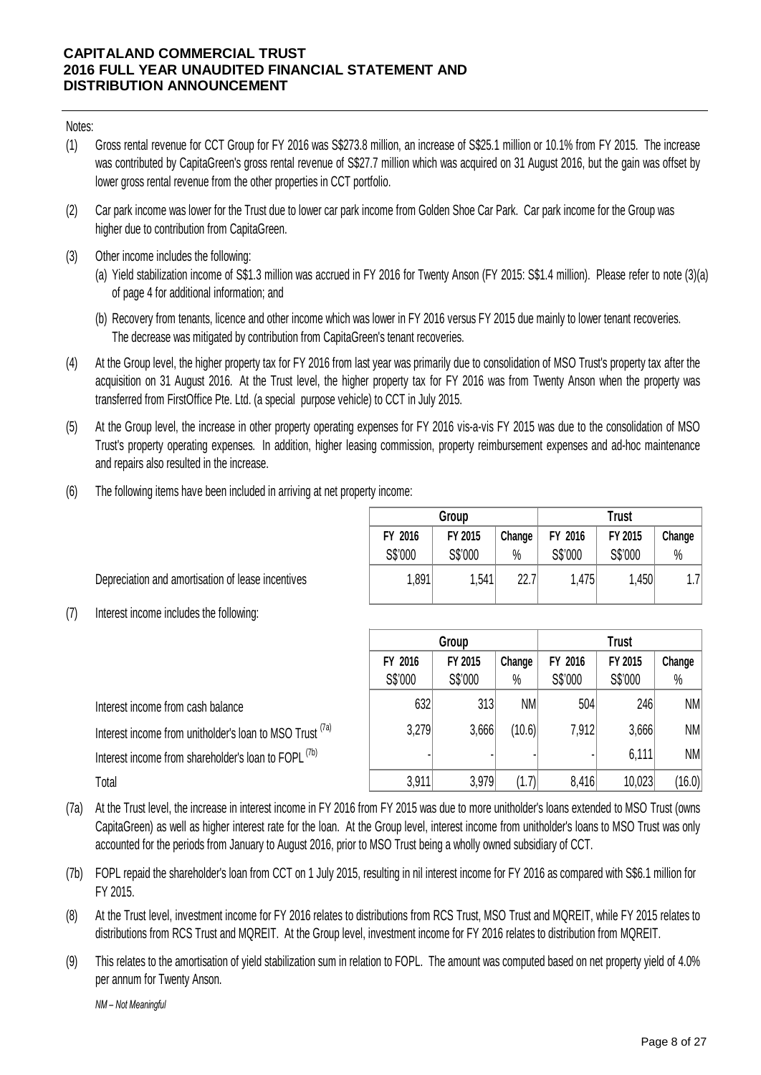Notes:

- (1) Gross rental revenue for CCT Group for FY 2016 was S\$273.8 million, an increase of S\$25.1 million or 10.1% from FY 2015. The increase was contributed by CapitaGreen's gross rental revenue of S\$27.7 million which was acquired on 31 August 2016, but the gain was offset by lower gross rental revenue from the other properties in CCT portfolio.
- (2) Car park income was lower for the Trust due to lower car park income from Golden Shoe Car Park. Car park income for the Group was higher due to contribution from CapitaGreen.
- (3) Other income includes the following:
- (a) park income was lower for the Trust due to lower car park income from Golden Shoe Car Park. Car park income for the Group was<br>er due to contribution from CapitaGreen.<br>Frield stabilization income of S\$1.3 million was accrue of page 4 for additional information; and
	- (b) Recovery from tenants, licence and other income which was lower in FY 2016 versus FY 2015 due mainly to lower tenant recoveries. The decrease was mitigated by contribution from CapitaGreen's tenant recoveries.
- (4) At the Group level, the higher property tax for FY 2016 from last year was primarily due to consolidation of MSO Trust's property tax after the acquisition on 31 August 2016. At the Trust level, the higher property tax for FY 2016 was from Twenty Anson when the property was transferred from FirstOffice Pte. Ltd. (a special purpose vehicle) to CCT in July 2015. At the Group level, the higher property tax for FY 2016 from last year was primarily due to consolidation of MSO Trust's property tax after the acquisition on 31 August 2016. At the Trust level, the higher property tax for
- (5) Trust's property operating expenses. In addition, higher leasing commission, property reimbursement expenses and ad-hoc maintenance and repairs also resulted in the increase.
- (6) The following items have been included in arriving at net property income:

|         | Group   |        |         | <b>Trust</b> |        |
|---------|---------|--------|---------|--------------|--------|
| FY 2016 | FY 2015 | Change | FY 2016 | FY 2015      | Change |
| S\$'000 | S\$'000 | $\%$   | S\$'000 | S\$'000      | $\%$   |
| 1,891   | 1,541   | 22.7   | 1,475   | 1,450        | 1.7    |

Depreciation and amortisation of lease incentives

(7) Interest income includes the following:

|                                                                                                                                                                                                                                                                                            | Group   |         |        | Trust   |         |        |  |
|--------------------------------------------------------------------------------------------------------------------------------------------------------------------------------------------------------------------------------------------------------------------------------------------|---------|---------|--------|---------|---------|--------|--|
|                                                                                                                                                                                                                                                                                            | FY 2016 | FY 2015 | Change | FY 2016 | FY 2015 | Change |  |
|                                                                                                                                                                                                                                                                                            | S\$'000 | S\$'000 | $\%$   | S\$'000 | S\$'000 | %      |  |
| Interest income from cash balance                                                                                                                                                                                                                                                          | 632     | 313     | NM     | 504     | 246     | NM     |  |
| Interest income from unitholder's loan to MSO Trust (7a)                                                                                                                                                                                                                                   | 3,279   | 3,666   | (10.6) | 7,912   | 3,666   | NM     |  |
| Interest income from shareholder's loan to FOPL <sup>(7b)</sup>                                                                                                                                                                                                                            |         |         |        |         | 6,111   | NM     |  |
| Total                                                                                                                                                                                                                                                                                      | 3,911   | 3,979   | (1.7)  | 8,416   | 10,023  | (16.0) |  |
| At the Trust level, the increase in interest income in FY 2016 from FY 2015 was due to more unitholder's loans extended to MSO Trust (owns<br>CapitaGreen) as well as higher interest rate for the loan. At the Group level, interest income from unitholder's loans to MSO Trust was only |         |         |        |         |         |        |  |

- (7a) CapitaGreen) as well as higher interest rate for the loan. At the Group level, interest income from unitholder's loans to MSO Trust was only accounted for the periods from January to August 2016, prior to MSO Trust being a wholly owned subsidiary of CCT.
- (7b) FOPL repaid the shareholder's loan from CCT on 1 July 2015, resulting in nil interest income for FY 2016 as compared with S\$6.1 million for FY 2015.
- (8) At the Trust level, investment income for FY 2016 relates to distributions from RCS Trust, MSO Trust and MQREIT, while FY 2015 relates to distributions from RCS Trust and MQREIT. At the Group level, investment income for FY 2016 relates to distribution from MQREIT.
- (9) This relates to the amortisation of yield stabilization sum in relation to FOPL. The amount was computed based on net property yield of 4.0% per annum for Twenty Anson.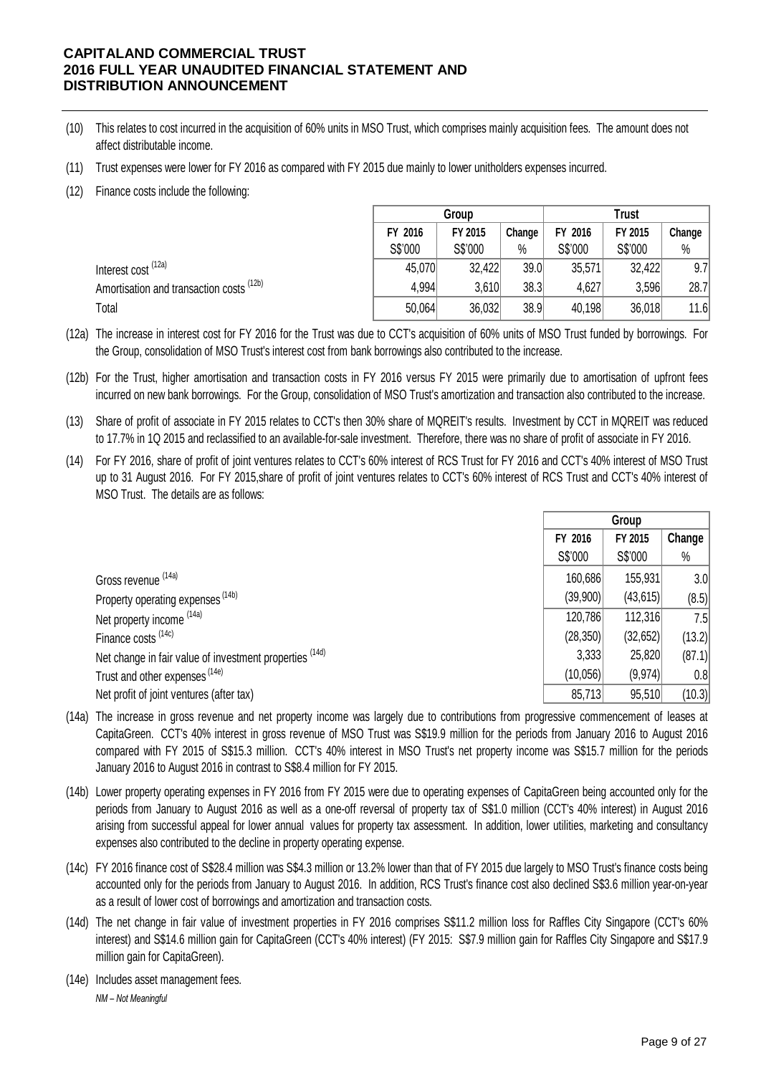- (10) This relates to cost incurred in the acquisition of 60% units in MSO Trust, which comprises mainly acquisition fees. The amount does not affect distributable income.
- (11) Trust expenses were lower for FY 2016 as compared with FY 2015 due mainly to lower unitholders expenses incurred.
- (12) Finance costs include the following:

|                                          | Group   |         |        |         | <b>Trust</b> |        |  |
|------------------------------------------|---------|---------|--------|---------|--------------|--------|--|
|                                          | FY 2016 | FY 2015 | Change | FY 2016 | FY 2015      | Change |  |
|                                          | S\$'000 | S\$'000 | $\%$   | S\$'000 | S\$'000      | $\%$   |  |
| Interest cost <sup>(12a)</sup>           | 45,070  | 32,422  | 39.0   | 35,571  | 32,422       | 9.7    |  |
| Amortisation and transaction costs (12b) | 4,994   | 3,610   | 38.3   | 4,627   | 3,596        | 28.7   |  |
| Total                                    | 50,064  | 36,032  | 38.9   | 40,198  | 36,018       | 11.6   |  |

(12a) The increase in interest cost for FY 2016 for the Trust was due to CCT's acquisition of 60% units of MSO Trust funded by borrowings. For the Group, consolidation of MSO Trust's interest cost from bank borrowings also contributed to the increase.

(12b) For the Trust, higher amortisation and transaction costs in FY 2016 versus FY 2015 were primarily due to amortisation of upfront fees incurred on new bank borrowings. For the Group, consolidation of MSO Trust's amortization and transaction also contributed to the increase.

(13) Share of profit of associate in FY 2015 relates to CCT's then 30% share of MQREIT's results. Investment by CCT in MQREIT was reduced to 17.7% in 1Q 2015 and reclassified to an available-for-sale investment. Therefore, there was no share of profit of associate in FY 2016.

(14) For FY 2016, share of profit of joint ventures relates to CCT's 60% interest of RCS Trust for FY 2016 and CCT's 40% interest of MSO Trust up to 31 August 2016. For FY 2015,share of profit of joint ventures relates to CCT's 60% interest of RCS Trust and CCT's 40% interest of MSO Trust. The details are as follows:

|                                                         | Group     |           |        |  |
|---------------------------------------------------------|-----------|-----------|--------|--|
|                                                         | FY 2016   | Change    |        |  |
|                                                         | S\$'000   | S\$'000   | %      |  |
| Gross revenue (14a)                                     | 160,686   | 155,931   | 3.0    |  |
| Property operating expenses <sup>(14b)</sup>            | (39,900)  | (43, 615) | (8.5)  |  |
| Net property income (14a)                               | 120,786   | 112,316   | 7.5    |  |
| Finance costs (14c)                                     | (28, 350) | (32,652)  | (13.2) |  |
| Net change in fair value of investment properties (14d) | 3,333     | 25,820    | (87.1) |  |
| Trust and other expenses (14e)                          | (10,056)  | (9,974)   | 0.8    |  |
| Net profit of joint ventures (after tax)                | 85,713    | 95,510    | (10.3) |  |

- (14a) The increase in gross revenue and net property income was largely due to contributions from progressive commencement of leases at CapitaGreen. CCT's 40% interest in gross revenue of MSO Trust was S\$19.9 million for the periods from January 2016 to August 2016 compared with FY 2015 of S\$15.3 million. CCT's 40% interest in MSO Trust's net property income was S\$15.7 million for the periods January 2016 to August 2016 in contrast to S\$8.4 million for FY 2015.
- (14b) Lower property operating expenses in FY 2016 from FY 2015 were due to operating expenses of CapitaGreen being accounted only for the periods from January to August 2016 as well as a one-off reversal of property tax of S\$1.0 million (CCT's 40% interest) in August 2016 arising from successful appeal for lower annual values for property tax assessment. In addition, lower utilities, marketing and consultancy expenses also contributed to the decline in property operating expense.
- (14c) FY 2016 finance cost of S\$28.4 million was S\$4.3 million or 13.2% lower than that of FY 2015 due largely to MSO Trust's finance costs being accounted only for the periods from January to August 2016. In addition, RCS Trust's finance cost also declined S\$3.6 million year-on-year as a result of lower cost of borrowings and amortization and transaction costs.
- (14d) The net change in fair value of investment properties in FY 2016 comprises S\$11.2 million loss for Raffles City Singapore (CCT's 60% interest) and S\$14.6 million gain for CapitaGreen (CCT's 40% interest) (FY 2015: S\$7.9 million gain for Raffles City Singapore and S\$17.9 million gain for CapitaGreen).
- (14e) Includes asset management fees.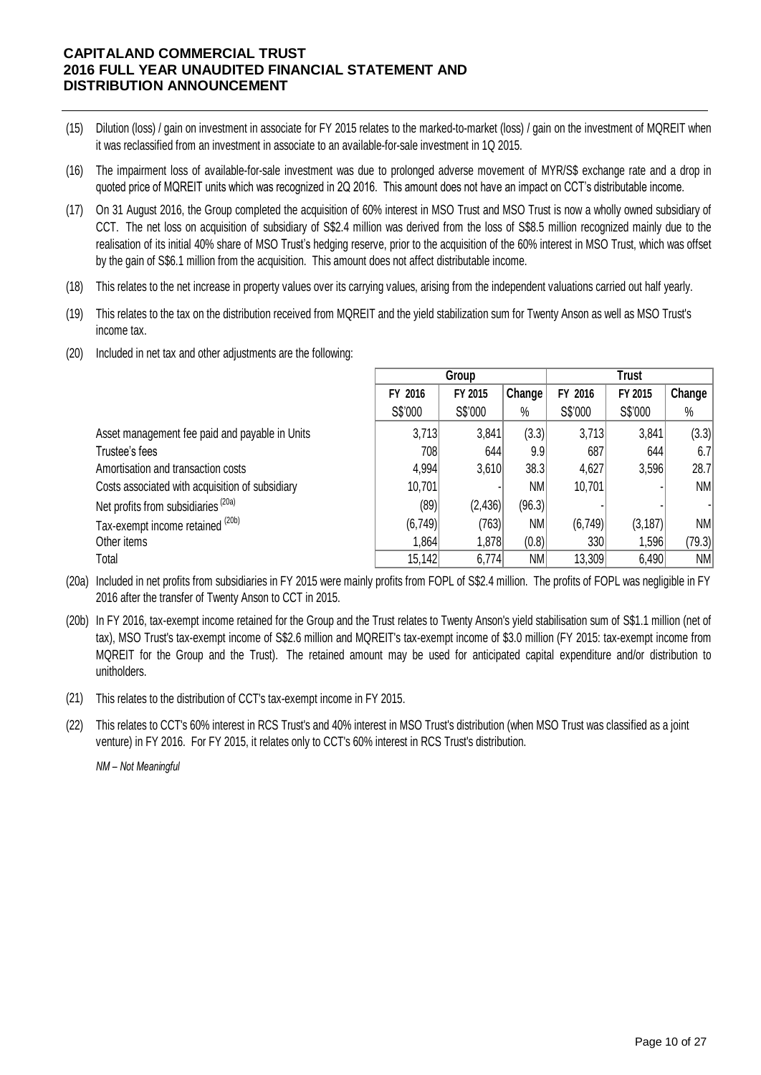- (15) Dilution (loss) / gain on investment in associate for FY 2015 relates to the marked-to-market (loss) / gain on the investment of MQREIT when it was reclassified from an investment in associate to an available-for-sale investment in 1Q 2015.
- (16) The impairment loss of available-for-sale investment was due to prolonged adverse movement of MYR/S\$ exchange rate and a drop in quoted price of MQREIT units which was recognized in 2Q 2016. This amount does not have an impact on CCT's distributable income.
- (17) On 31 August 2016, the Group completed the acquisition of 60% interest in MSO Trust and MSO Trust is now a wholly owned subsidiary of CCT. The net loss on acquisition of subsidiary of S\$2.4 million was derived from the loss of S\$8.5 million recognized mainly due to the realisation of its initial 40% share of MSO Trust's hedging reserve, prior to the acquisition of the 60% interest in MSO Trust, which was offset by the gain of S\$6.1 million from the acquisition. This amount does not affect distributable income.
- (18) This relates to the net increase in property values over its carrying values, arising from the independent valuations carried out half yearly.
- (19) This relates to the tax on the distribution received from MQREIT and the yield stabilization sum for Twenty Anson as well as MSO Trust's income tax.
- (20) Included in net tax and other adjustments are the following:

|                                                 |         | Group    |        |          | <b>Trust</b> |           |  |
|-------------------------------------------------|---------|----------|--------|----------|--------------|-----------|--|
|                                                 | FY 2016 | FY 2015  | Change | FY 2016  | FY 2015      | Change    |  |
|                                                 | S\$'000 | S\$'000  | $\%$   | S\$'000  | S\$'000      | $\%$      |  |
| Asset management fee paid and payable in Units  | 3,713   | 3,841    | (3.3)  | 3,713    | 3,841        | (3.3)     |  |
| Trustee's fees                                  | 708     | 644      | 9.9    | 687      | 644          | 6.7       |  |
| Amortisation and transaction costs              | 4,994   | 3,610    | 38.3   | 4,627    | 3,596        | 28.7      |  |
| Costs associated with acquisition of subsidiary | 10,701  |          | NM.    | 10,701   |              | NM        |  |
| Net profits from subsidiaries <sup>(20a)</sup>  | (89)    | (2, 436) | (96.3) |          |              |           |  |
| Tax-exempt income retained (20b)                | (6,749) | (763)    | NM     | (6, 749) | (3, 187)     | <b>NM</b> |  |
| Other items                                     | 1,864   | 1,878    | (0.8)  | 330      | 1,596        | (79.3)    |  |
| Total                                           | 15,142  | 6,774    | NM     | 13,309   | 6,490        | <b>NM</b> |  |

(20a) Included in net profits from subsidiaries in FY 2015 were mainly profits from FOPL of S\$2.4 million. The profits of FOPL was negligible in FY 2016 after the transfer of Twenty Anson to CCT in 2015.

- (20b) In FY 2016, tax-exempt income retained for the Group and the Trust relates to Twenty Anson's yield stabilisation sum of S\$1.1 million (net of tax), MSO Trust's tax-exempt income of S\$2.6 million and MQREIT's tax-exempt income of \$3.0 million (FY 2015: tax-exempt income from MQREIT for the Group and the Trust). The retained amount may be used for anticipated capital expenditure and/or distribution to unitholders.
- (21) This relates to the distribution of CCT's tax-exempt income in FY 2015.
- (22) This relates to CCT's 60% interest in RCS Trust's and 40% interest in MSO Trust's distribution (when MSO Trust was classified as a joint venture) in FY 2016. For FY 2015, it relates only to CCT's 60% interest in RCS Trust's distribution.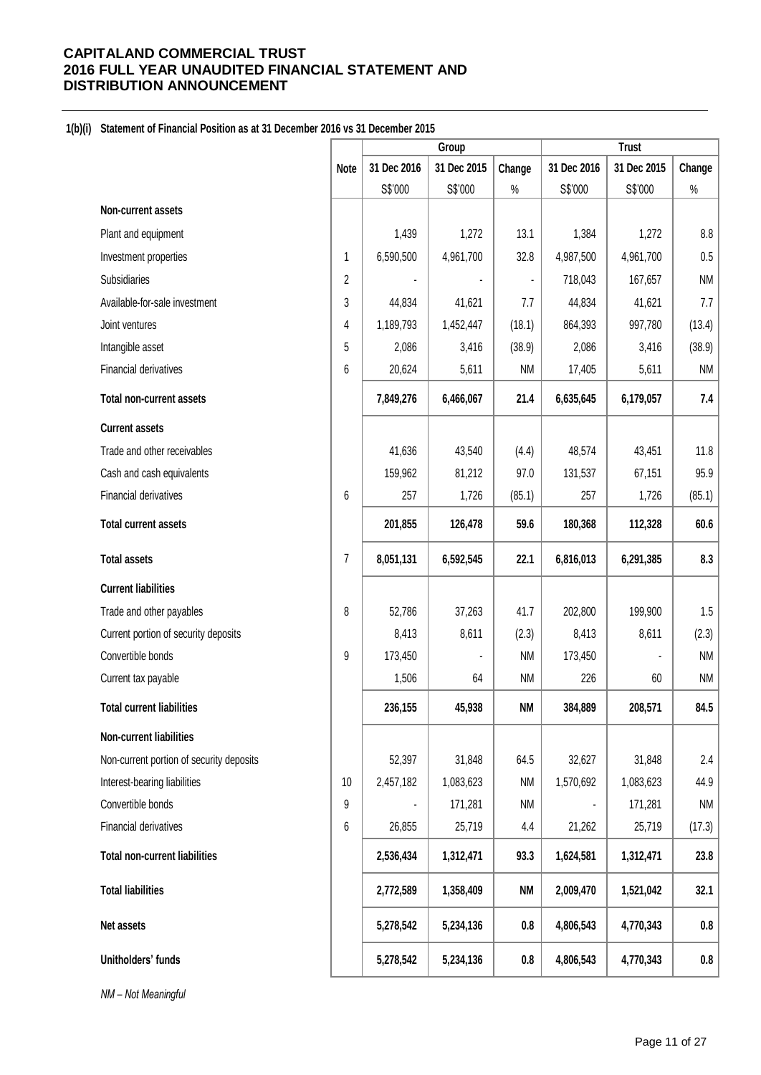## **1(b)(i) Statement of Financial Position as at 31 December 2016 vs 31 December 2015**

|                                          |             | Group       |             |           | <b>Trust</b> |             |           |
|------------------------------------------|-------------|-------------|-------------|-----------|--------------|-------------|-----------|
|                                          | <b>Note</b> | 31 Dec 2016 | 31 Dec 2015 | Change    | 31 Dec 2016  | 31 Dec 2015 | Change    |
|                                          |             | S\$'000     | S\$'000     | $\%$      | S\$'000      | S\$'000     | $\%$      |
| Non-current assets                       |             |             |             |           |              |             |           |
| Plant and equipment                      |             | 1,439       | 1,272       | 13.1      | 1,384        | 1,272       | 8.8       |
| Investment properties                    | 1           | 6,590,500   | 4,961,700   | 32.8      | 4,987,500    | 4,961,700   | 0.5       |
| Subsidiaries                             | 2           |             |             |           | 718,043      | 167,657     | <b>NM</b> |
| Available-for-sale investment            | 3           | 44,834      | 41,621      | 7.7       | 44,834       | 41,621      | 7.7       |
| Joint ventures                           | 4           | 1,189,793   | 1,452,447   | (18.1)    | 864,393      | 997,780     | (13.4)    |
| Intangible asset                         | 5           | 2,086       | 3,416       | (38.9)    | 2,086        | 3,416       | (38.9)    |
| Financial derivatives                    | 6           | 20,624      | 5,611       | <b>NM</b> | 17,405       | 5,611       | NM        |
| <b>Total non-current assets</b>          |             | 7,849,276   | 6,466,067   | 21.4      | 6,635,645    | 6,179,057   | 7.4       |
| <b>Current assets</b>                    |             |             |             |           |              |             |           |
| Trade and other receivables              |             | 41,636      | 43,540      | (4.4)     | 48,574       | 43,451      | 11.8      |
| Cash and cash equivalents                |             | 159,962     | 81,212      | 97.0      | 131,537      | 67,151      | 95.9      |
| Financial derivatives                    | 6           | 257         | 1,726       | (85.1)    | 257          | 1,726       | (85.1)    |
| <b>Total current assets</b>              |             | 201,855     | 126,478     | 59.6      | 180,368      | 112,328     | 60.6      |
| <b>Total assets</b>                      | 7           | 8,051,131   | 6,592,545   | 22.1      | 6,816,013    | 6,291,385   | 8.3       |
| <b>Current liabilities</b>               |             |             |             |           |              |             |           |
| Trade and other payables                 | 8           | 52,786      | 37,263      | 41.7      | 202,800      | 199,900     | 1.5       |
| Current portion of security deposits     |             | 8,413       | 8,611       | (2.3)     | 8,413        | 8,611       | (2.3)     |
| Convertible bonds                        | 9           | 173,450     |             | <b>NM</b> | 173,450      |             | <b>NM</b> |
| Current tax payable                      |             | 1,506       | 64          | <b>NM</b> | 226          | 60          | <b>NM</b> |
| <b>Total current liabilities</b>         |             | 236,155     | 45,938      | <b>NM</b> | 384,889      | 208,571     | 84.5      |
| Non-current liabilities                  |             |             |             |           |              |             |           |
| Non-current portion of security deposits |             | 52,397      | 31,848      | 64.5      | 32,627       | 31,848      | 2.4       |
| Interest-bearing liabilities             | 10          | 2,457,182   | 1,083,623   | <b>NM</b> | 1,570,692    | 1,083,623   | 44.9      |
| Convertible bonds                        | 9           |             | 171,281     | <b>NM</b> |              | 171,281     | <b>NM</b> |
| Financial derivatives                    | 6           | 26,855      | 25,719      | 4.4       | 21,262       | 25,719      | (17.3)    |
| <b>Total non-current liabilities</b>     |             | 2,536,434   | 1,312,471   | 93.3      | 1,624,581    | 1,312,471   | 23.8      |
| <b>Total liabilities</b>                 |             | 2,772,589   | 1,358,409   | <b>NM</b> | 2,009,470    | 1,521,042   | 32.1      |
| Net assets                               |             | 5,278,542   | 5,234,136   | 0.8       | 4,806,543    | 4,770,343   | $0.8\,$   |
| Unitholders' funds                       |             | 5,278,542   | 5,234,136   | $0.8\,$   | 4,806,543    | 4,770,343   | 0.8       |
| NM - Not Meaningful                      |             |             |             |           |              |             |           |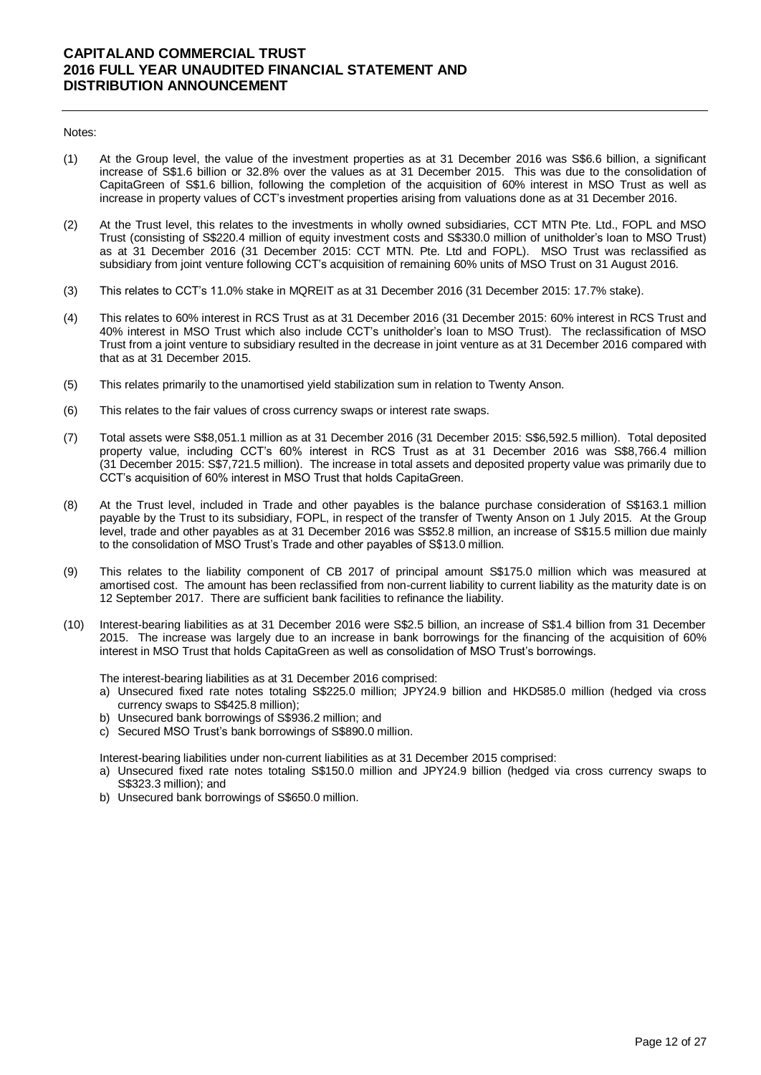#### Notes:

- (1) At the Group level, the value of the investment properties as at 31 December 2016 was S\$6.6 billion, a significant increase of S\$1.6 billion or 32.8% over the values as at 31 December 2015. This was due to the consolidation of CapitaGreen of S\$1.6 billion, following the completion of the acquisition of 60% interest in MSO Trust as well as increase in property values of CCT's investment properties arising from valuations done as at 31 December 2016.
- (2) At the Trust level, this relates to the investments in wholly owned subsidiaries, CCT MTN Pte. Ltd., FOPL and MSO Trust (consisting of S\$220.4 million of equity investment costs and S\$330.0 million of unitholder's loan to MSO Trust) as at 31 December 2016 (31 December 2015: CCT MTN. Pte. Ltd and FOPL). MSO Trust was reclassified as subsidiary from joint venture following CCT's acquisition of remaining 60% units of MSO Trust on 31 August 2016.
- (3) This relates to CCT's 11.0% stake in MQREIT as at 31 December 2016 (31 December 2015: 17.7% stake).
- (4) This relates to 60% interest in RCS Trust as at 31 December 2016 (31 December 2015: 60% interest in RCS Trust and 40% interest in MSO Trust which also include CCT's unitholder's loan to MSO Trust). The reclassification of MSO Trust from a joint venture to subsidiary resulted in the decrease in joint venture as at 31 December 2016 compared with that as at 31 December 2015.
- (5) This relates primarily to the unamortised yield stabilization sum in relation to Twenty Anson.
- (6) This relates to the fair values of cross currency swaps or interest rate swaps.
- (7) Total assets were S\$8,051.1 million as at 31 December 2016 (31 December 2015: S\$6,592.5 million). Total deposited property value, including CCT's 60% interest in RCS Trust as at 31 December 2016 was S\$8,766.4 million (31 December 2015: S\$7,721.5 million). The increase in total assets and deposited property value was primarily due to CCT's acquisition of 60% interest in MSO Trust that holds CapitaGreen.
- (8) At the Trust level, included in Trade and other payables is the balance purchase consideration of S\$163.1 million payable by the Trust to its subsidiary, FOPL, in respect of the transfer of Twenty Anson on 1 July 2015. At the Group level, trade and other payables as at 31 December 2016 was S\$52.8 million, an increase of S\$15.5 million due mainly to the consolidation of MSO Trust's Trade and other payables of S\$13.0 million.
- (9) This relates to the liability component of CB 2017 of principal amount S\$175.0 million which was measured at amortised cost. The amount has been reclassified from non-current liability to current liability as the maturity date is on 12 September 2017. There are sufficient bank facilities to refinance the liability.
- (10) Interest-bearing liabilities as at 31 December 2016 were S\$2.5 billion, an increase of S\$1.4 billion from 31 December 2015. The increase was largely due to an increase in bank borrowings for the financing of the acquisition of 60% interest in MSO Trust that holds CapitaGreen as well as consolidation of MSO Trust's borrowings.

The interest-bearing liabilities as at 31 December 2016 comprised:

- a) Unsecured fixed rate notes totaling S\$225.0 million; JPY24.9 billion and HKD585.0 million (hedged via cross currency swaps to S\$425.8 million);
- b) Unsecured bank borrowings of S\$936.2 million; and
- c) Secured MSO Trust's bank borrowings of S\$890.0 million.

Interest-bearing liabilities under non-current liabilities as at 31 December 2015 comprised:

- a) Unsecured fixed rate notes totaling S\$150.0 million and JPY24.9 billion (hedged via cross currency swaps to S\$323.3 million); and
- b) Unsecured bank borrowings of S\$650.0 million.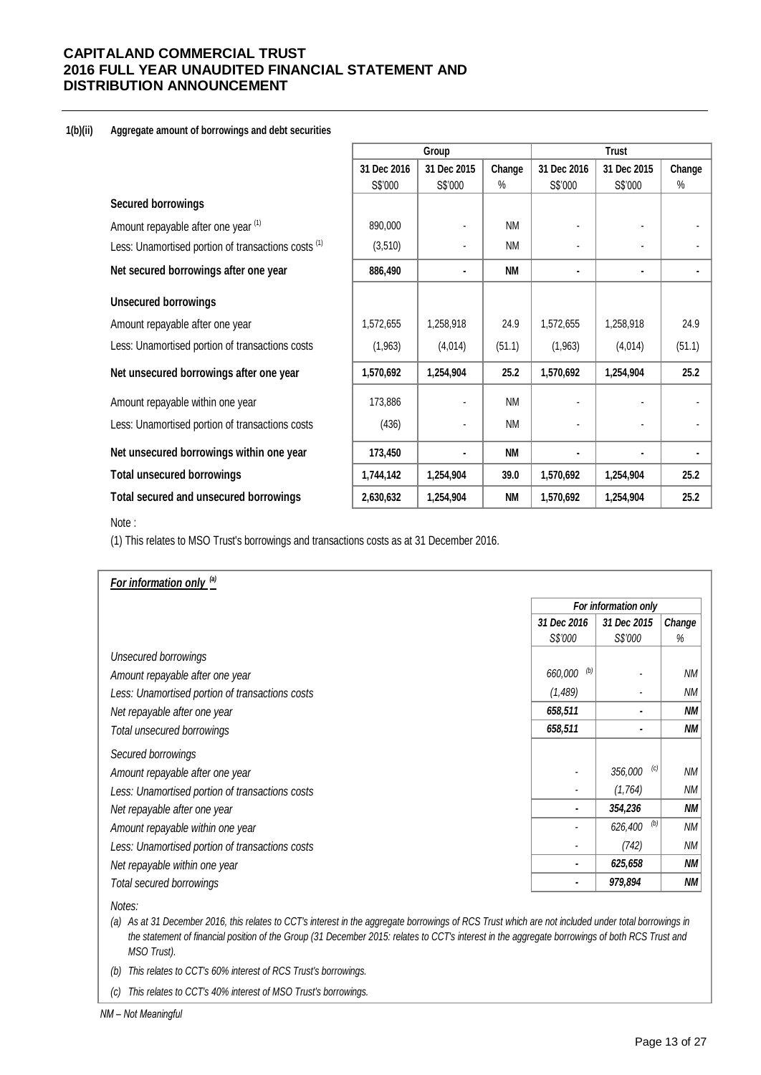## **1(b)(ii) Aggregate amount of borrowings and debt securities**

|                                                                |             | Group          |           | <b>Trust</b>   |                |        |  |
|----------------------------------------------------------------|-------------|----------------|-----------|----------------|----------------|--------|--|
|                                                                | 31 Dec 2016 | 31 Dec 2015    | Change    | 31 Dec 2016    | 31 Dec 2015    | Change |  |
|                                                                | S\$'000     | S\$'000        | $\%$      | S\$'000        | S\$'000        | %      |  |
| <b>Secured borrowings</b>                                      |             |                |           |                |                |        |  |
| Amount repayable after one year (1)                            | 890,000     |                | <b>NM</b> |                |                |        |  |
| Less: Unamortised portion of transactions costs <sup>(1)</sup> | (3, 510)    |                | <b>NM</b> |                |                |        |  |
| Net secured borrowings after one year                          | 886,490     | $\blacksquare$ | <b>NM</b> | $\blacksquare$ | $\blacksquare$ |        |  |
| <b>Unsecured borrowings</b>                                    |             |                |           |                |                |        |  |
| Amount repayable after one year                                | 1,572,655   | 1,258,918      | 24.9      | 1,572,655      | 1,258,918      | 24.9   |  |
| Less: Unamortised portion of transactions costs                | (1,963)     | (4,014)        | (51.1)    | (1,963)        | (4,014)        | (51.1) |  |
| Net unsecured borrowings after one year                        | 1,570,692   | 1,254,904      | 25.2      | 1,570,692      | 1,254,904      | 25.2   |  |
| Amount repayable within one year                               | 173,886     |                | <b>NM</b> |                |                |        |  |
| Less: Unamortised portion of transactions costs                | (436)       |                | <b>NM</b> |                |                |        |  |
| Net unsecured borrowings within one year                       | 173,450     | $\blacksquare$ | <b>NM</b> | $\blacksquare$ | ٠              |        |  |
| <b>Total unsecured borrowings</b>                              | 1,744,142   | 1,254,904      | 39.0      | 1,570,692      | 1,254,904      | 25.2   |  |
| Total secured and unsecured borrowings                         | 2,630,632   | 1,254,904      | <b>NM</b> | 1,570,692      | 1,254,904      | 25.2   |  |

#### Note :

(1) This relates to MSO Trust's borrowings and transactions costs as at 31 December 2016.

| For information only (a)                        |                |                      |           |  |  |  |
|-------------------------------------------------|----------------|----------------------|-----------|--|--|--|
|                                                 |                | For information only |           |  |  |  |
|                                                 | 31 Dec 2016    | 31 Dec 2015          | Change    |  |  |  |
|                                                 | S\$'000        | S\$'000              | %         |  |  |  |
| Unsecured borrowings                            |                |                      |           |  |  |  |
| Amount repayable after one year                 | (b)<br>660,000 |                      | <b>NM</b> |  |  |  |
| Less: Unamortised portion of transactions costs | (1,489)        |                      | <b>NM</b> |  |  |  |
| Net repayable after one year                    | 658,511        |                      | NΜ        |  |  |  |
| Total unsecured borrowings                      | 658,511        |                      | <b>NM</b> |  |  |  |
| Secured borrowings                              |                |                      |           |  |  |  |
| Amount repayable after one year                 |                | (c)<br>356,000       | NМ        |  |  |  |
| Less: Unamortised portion of transactions costs |                | (1,764)              | NМ        |  |  |  |
| Net repayable after one year                    | ٠              | 354,236              | <b>NM</b> |  |  |  |
| Amount repayable within one year                |                | (b)<br>626,400       | NМ        |  |  |  |
| Less: Unamortised portion of transactions costs |                | (742)                | ΝM        |  |  |  |
| Net repayable within one year                   | ٠              | 625,658              | NΜ        |  |  |  |
| Total secured borrowings                        |                | 979,894              | ΝM        |  |  |  |

*(a) As at 31 December 2016, this relates to CCT's interest in the aggregate borrowings of RCS Trust which are not included under total borrowings in the statement of financial position of the Group (31 December 2015: relates to CCT's interest in the aggregate borrowings of both RCS Trust and MSO Trust).*

*(b) This relates to CCT's 60% interest of RCS Trust's borrowings.* 

*(c) This relates to CCT's 40% interest of MSO Trust's borrowings.*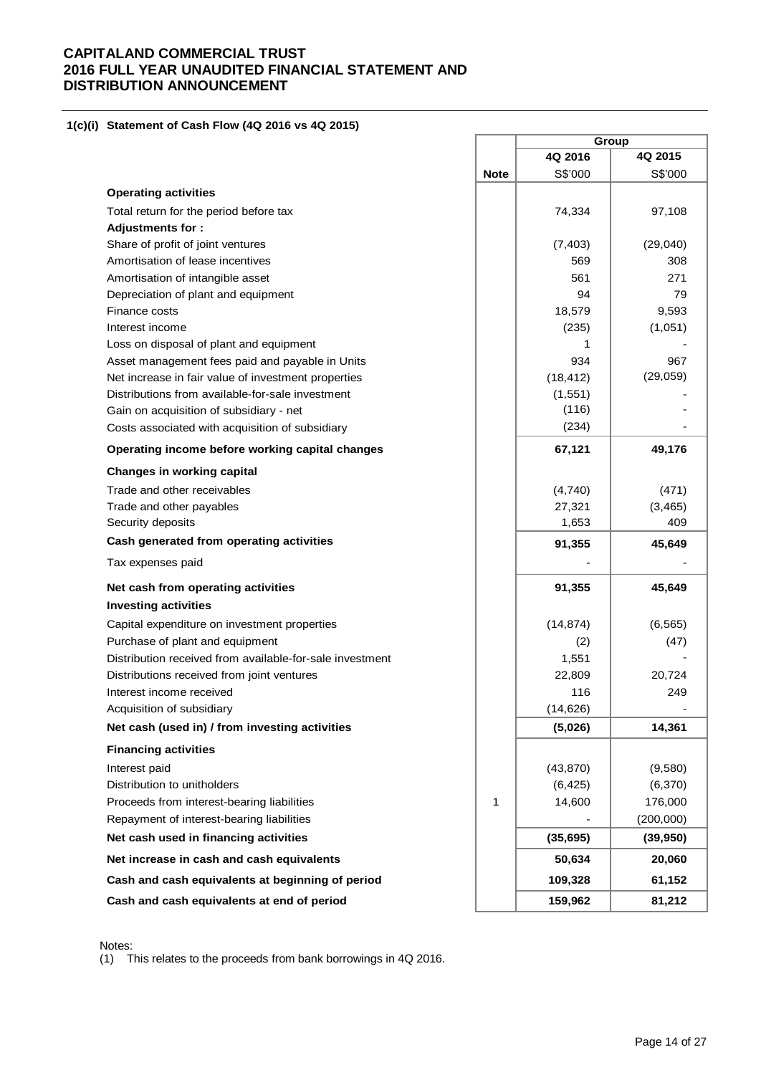### **1(c)(i) Statement of Cash Flow (4Q 2016 vs 4Q 2015)**

|                                                          |             |           | Group     |
|----------------------------------------------------------|-------------|-----------|-----------|
|                                                          |             | 4Q 2016   | 4Q 2015   |
|                                                          | <b>Note</b> | S\$'000   | S\$'000   |
| <b>Operating activities</b>                              |             |           |           |
| Total return for the period before tax                   |             | 74,334    | 97,108    |
| <b>Adjustments for:</b>                                  |             |           |           |
| Share of profit of joint ventures                        |             | (7, 403)  | (29,040)  |
| Amortisation of lease incentives                         |             | 569       | 308       |
| Amortisation of intangible asset                         |             | 561       | 271       |
| Depreciation of plant and equipment                      |             | 94        | 79        |
| Finance costs                                            |             | 18,579    | 9,593     |
| Interest income                                          |             | (235)     | (1,051)   |
| Loss on disposal of plant and equipment                  |             | 1         |           |
| Asset management fees paid and payable in Units          |             | 934       | 967       |
| Net increase in fair value of investment properties      |             | (18, 412) | (29,059)  |
| Distributions from available-for-sale investment         |             | (1, 551)  |           |
| Gain on acquisition of subsidiary - net                  |             | (116)     |           |
| Costs associated with acquisition of subsidiary          |             | (234)     |           |
| Operating income before working capital changes          |             | 67,121    | 49,176    |
| <b>Changes in working capital</b>                        |             |           |           |
| Trade and other receivables                              |             | (4,740)   | (471)     |
| Trade and other payables                                 |             | 27,321    | (3, 465)  |
| Security deposits                                        |             | 1,653     | 409       |
| Cash generated from operating activities                 |             | 91,355    | 45,649    |
| Tax expenses paid                                        |             |           |           |
| Net cash from operating activities                       |             | 91,355    | 45,649    |
| <b>Investing activities</b>                              |             |           |           |
| Capital expenditure on investment properties             |             | (14, 874) | (6, 565)  |
| Purchase of plant and equipment                          |             | (2)       | (47)      |
| Distribution received from available-for-sale investment |             | 1,551     |           |
| Distributions received from joint ventures               |             | 22,809    | 20,724    |
| Interest income received                                 |             | 116       | 249       |
| Acquisition of subsidiary                                |             | (14, 626) |           |
| Net cash (used in) / from investing activities           |             | (5,026)   | 14,361    |
| <b>Financing activities</b>                              |             |           |           |
| Interest paid                                            |             | (43, 870) | (9,580)   |
| Distribution to unitholders                              |             | (6, 425)  | (6, 370)  |
| Proceeds from interest-bearing liabilities               | 1           | 14,600    | 176,000   |
| Repayment of interest-bearing liabilities                |             |           | (200,000) |
| Net cash used in financing activities                    |             | (35, 695) | (39, 950) |
| Net increase in cash and cash equivalents                |             | 50,634    | 20,060    |
| Cash and cash equivalents at beginning of period         |             | 109,328   | 61,152    |
| Cash and cash equivalents at end of period               |             | 159,962   | 81,212    |

Notes:

(1) This relates to the proceeds from bank borrowings in 4Q 2016.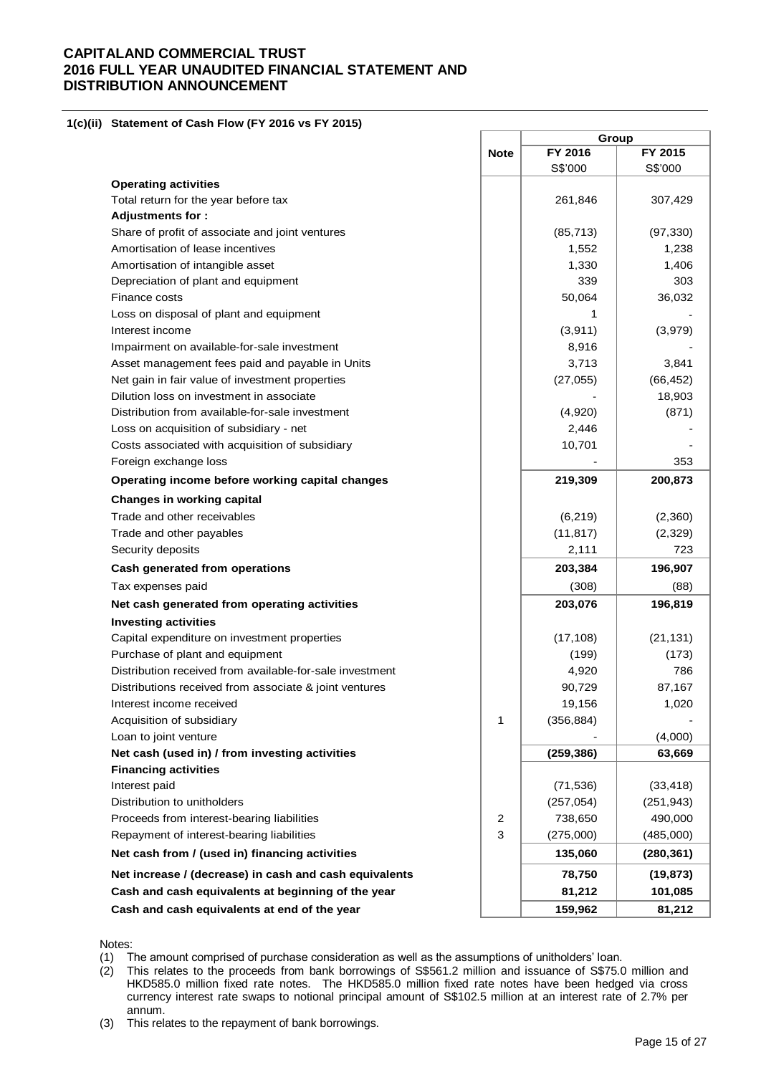**1(c)(ii) Statement of Cash Flow (FY 2016 vs FY 2015)**

|                                                          |             | Group      |            |  |  |
|----------------------------------------------------------|-------------|------------|------------|--|--|
|                                                          | <b>Note</b> | FY 2016    | FY 2015    |  |  |
|                                                          |             | S\$'000    | S\$'000    |  |  |
| <b>Operating activities</b>                              |             |            |            |  |  |
| Total return for the year before tax                     |             | 261,846    | 307,429    |  |  |
| <b>Adjustments for:</b>                                  |             |            |            |  |  |
| Share of profit of associate and joint ventures          |             | (85, 713)  | (97, 330)  |  |  |
| Amortisation of lease incentives                         |             | 1,552      | 1,238      |  |  |
| Amortisation of intangible asset                         |             | 1,330      | 1,406      |  |  |
| Depreciation of plant and equipment                      |             | 339        | 303        |  |  |
| Finance costs                                            |             | 50,064     | 36,032     |  |  |
| Loss on disposal of plant and equipment                  |             | 1          |            |  |  |
| Interest income                                          |             | (3,911)    | (3,979)    |  |  |
| Impairment on available-for-sale investment              |             | 8,916      |            |  |  |
| Asset management fees paid and payable in Units          |             | 3,713      | 3,841      |  |  |
| Net gain in fair value of investment properties          |             | (27, 055)  | (66, 452)  |  |  |
| Dilution loss on investment in associate                 |             |            | 18,903     |  |  |
| Distribution from available-for-sale investment          |             | (4,920)    | (871)      |  |  |
| Loss on acquisition of subsidiary - net                  |             | 2,446      |            |  |  |
| Costs associated with acquisition of subsidiary          |             | 10,701     |            |  |  |
| Foreign exchange loss                                    |             |            | 353        |  |  |
| Operating income before working capital changes          |             | 219,309    | 200,873    |  |  |
| <b>Changes in working capital</b>                        |             |            |            |  |  |
| Trade and other receivables                              |             | (6, 219)   | (2,360)    |  |  |
| Trade and other payables                                 |             | (11, 817)  | (2,329)    |  |  |
| Security deposits                                        |             | 2,111      | 723        |  |  |
| Cash generated from operations                           |             | 203,384    | 196,907    |  |  |
| Tax expenses paid                                        |             | (308)      | (88)       |  |  |
| Net cash generated from operating activities             |             | 203,076    | 196,819    |  |  |
| <b>Investing activities</b>                              |             |            |            |  |  |
| Capital expenditure on investment properties             |             | (17, 108)  | (21, 131)  |  |  |
| Purchase of plant and equipment                          |             | (199)      | (173)      |  |  |
| Distribution received from available-for-sale investment |             | 4,920      | 786        |  |  |
| Distributions received from associate & joint ventures   |             | 90,729     | 87,167     |  |  |
| Interest income received                                 |             | 19,156     | 1,020      |  |  |
| Acquisition of subsidiary                                | 1           | (356, 884) |            |  |  |
| Loan to joint venture                                    |             |            | (4,000)    |  |  |
| Net cash (used in) / from investing activities           |             | (259, 386) | 63,669     |  |  |
| <b>Financing activities</b>                              |             |            |            |  |  |
| Interest paid                                            |             | (71, 536)  | (33, 418)  |  |  |
| Distribution to unitholders                              |             | (257, 054) | (251, 943) |  |  |
| Proceeds from interest-bearing liabilities               | 2           | 738,650    | 490,000    |  |  |
| Repayment of interest-bearing liabilities                | 3           | (275,000)  | (485,000)  |  |  |
| Net cash from / (used in) financing activities           |             | 135,060    | (280, 361) |  |  |
| Net increase / (decrease) in cash and cash equivalents   |             | 78,750     | (19, 873)  |  |  |
| Cash and cash equivalents at beginning of the year       |             | 81,212     | 101,085    |  |  |
| Cash and cash equivalents at end of the year             |             | 159,962    | 81,212     |  |  |

Notes:

(1) The amount comprised of purchase consideration as well as the assumptions of unitholders' loan.

(2) This relates to the proceeds from bank borrowings of S\$561.2 million and issuance of S\$75.0 million and HKD585.0 million fixed rate notes. The HKD585.0 million fixed rate notes have been hedged via cross currency interest rate swaps to notional principal amount of S\$102.5 million at an interest rate of 2.7% per annum.

(3) This relates to the repayment of bank borrowings.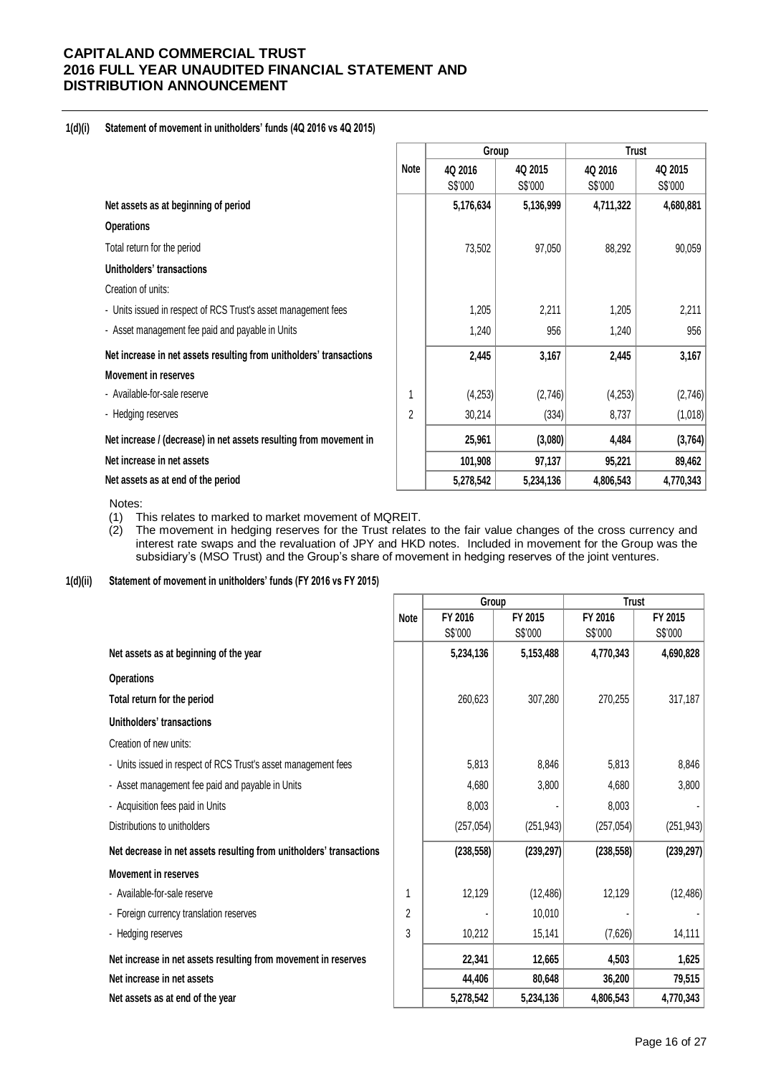## **1(d)(i) Statement of movement in unitholders' funds (4Q 2016 vs 4Q 2015)**

|                                                                     |             | Group     |           | <b>Trust</b> |           |
|---------------------------------------------------------------------|-------------|-----------|-----------|--------------|-----------|
|                                                                     | <b>Note</b> | 4Q 2016   | 4Q 2015   | 4Q 2016      | 4Q 2015   |
|                                                                     |             | S\$'000   | S\$'000   | S\$'000      | S\$'000   |
| Net assets as at beginning of period                                |             | 5,176,634 | 5,136,999 | 4,711,322    | 4,680,881 |
| <b>Operations</b>                                                   |             |           |           |              |           |
| Total return for the period                                         |             | 73,502    | 97,050    | 88,292       | 90,059    |
| Unitholders' transactions                                           |             |           |           |              |           |
| Creation of units:                                                  |             |           |           |              |           |
| - Units issued in respect of RCS Trust's asset management fees      |             | 1,205     | 2,211     | 1,205        | 2,211     |
| - Asset management fee paid and payable in Units                    |             | 1,240     | 956       | 1,240        | 956       |
| Net increase in net assets resulting from unitholders' transactions |             | 2,445     | 3,167     | 2,445        | 3,167     |
| <b>Movement in reserves</b>                                         |             |           |           |              |           |
| - Available-for-sale reserve                                        | 1           | (4,253)   | (2,746)   | (4, 253)     | (2,746)   |
| - Hedging reserves                                                  | 2           | 30,214    | (334)     | 8,737        | (1,018)   |
| Net increase / (decrease) in net assets resulting from movement in  |             | 25,961    | (3,080)   | 4,484        | (3,764)   |
| Net increase in net assets                                          |             | 101,908   | 97,137    | 95,221       | 89,462    |
| Net assets as at end of the period                                  |             | 5,278,542 | 5,234,136 | 4,806,543    | 4,770,343 |

Notes:

- 
- (1) This relates to marked to market movement of MQREIT.<br>(2) The movement in hedging reserves for the Trust relates (2) The movement in hedging reserves for the Trust relates to the fair value changes of the cross currency and interest rate swaps and the revaluation of JPY and HKD notes. Included in movement for the Group was the subsidiary's (MSO Trust) and the Group's share of movement in hedging reserves of the joint ventures.

## **1(d)(ii) Statement of movement in unitholders' funds (FY 2016 vs FY 2015)**

|                                                                     |             | Group      |            | <b>Trust</b> |            |  |
|---------------------------------------------------------------------|-------------|------------|------------|--------------|------------|--|
|                                                                     | <b>Note</b> | FY 2016    | FY 2015    | FY 2016      | FY 2015    |  |
|                                                                     |             | S\$'000    | S\$'000    | S\$'000      | S\$'000    |  |
| Net assets as at beginning of the year                              |             | 5,234,136  | 5,153,488  | 4,770,343    | 4,690,828  |  |
| <b>Operations</b>                                                   |             |            |            |              |            |  |
| Total return for the period                                         |             | 260,623    | 307,280    | 270,255      | 317,187    |  |
| Unitholders' transactions                                           |             |            |            |              |            |  |
| Creation of new units:                                              |             |            |            |              |            |  |
| - Units issued in respect of RCS Trust's asset management fees      |             | 5,813      | 8,846      | 5,813        | 8,846      |  |
| - Asset management fee paid and payable in Units                    |             | 4,680      | 3,800      | 4,680        | 3,800      |  |
| - Acquisition fees paid in Units                                    |             | 8,003      |            | 8,003        |            |  |
| Distributions to unitholders                                        |             | (257, 054) | (251, 943) | (257, 054)   | (251, 943) |  |
| Net decrease in net assets resulting from unitholders' transactions |             | (238, 558) | (239, 297) | (238, 558)   | (239, 297) |  |
| <b>Movement in reserves</b>                                         |             |            |            |              |            |  |
| - Available-for-sale reserve                                        |             | 12,129     | (12, 486)  | 12,129       | (12, 486)  |  |
| - Foreign currency translation reserves                             | 2           |            | 10,010     |              |            |  |
| - Hedging reserves                                                  | 3           | 10,212     | 15,141     | (7,626)      | 14,111     |  |
| Net increase in net assets resulting from movement in reserves      |             | 22,341     | 12,665     | 4,503        | 1,625      |  |
| Net increase in net assets                                          |             | 44,406     | 80,648     | 36,200       | 79,515     |  |
| Net assets as at end of the year                                    |             | 5,278,542  | 5,234,136  | 4,806,543    | 4,770,343  |  |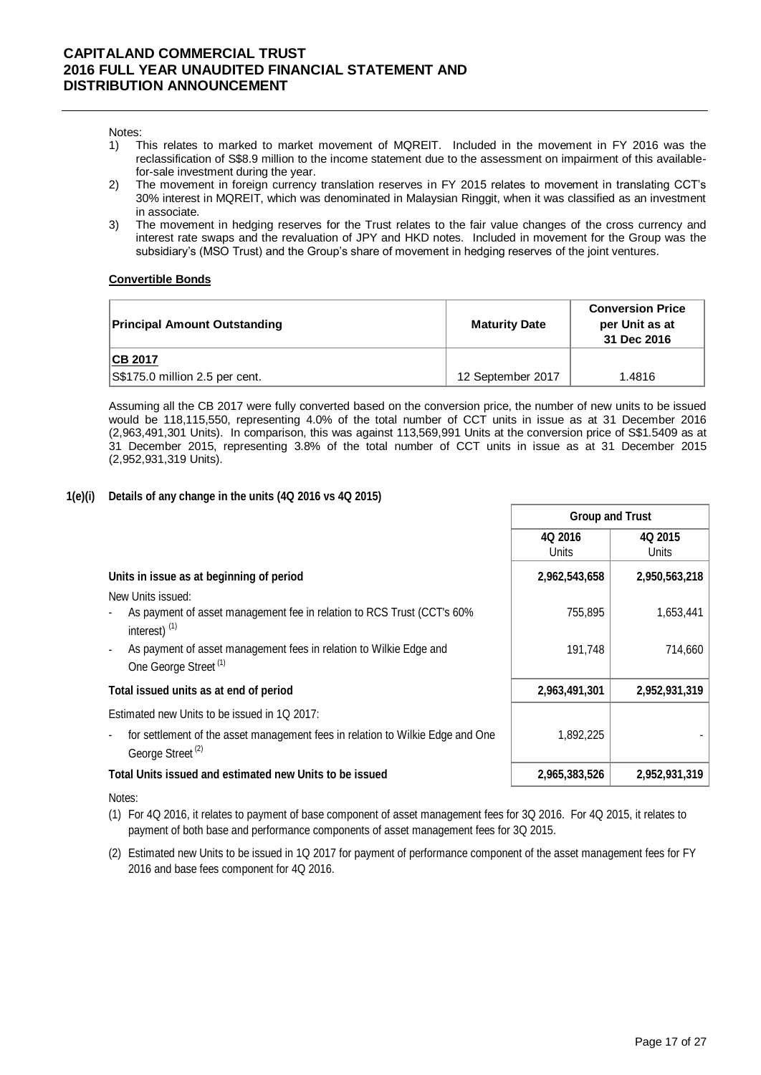#### Notes:

- 1) This relates to marked to market movement of MQREIT. Included in the movement in FY 2016 was the reclassification of S\$8.9 million to the income statement due to the assessment on impairment of this availablefor-sale investment during the year.
- 2) The movement in foreign currency translation reserves in FY 2015 relates to movement in translating CCT's 30% interest in MQREIT, which was denominated in Malaysian Ringgit, when it was classified as an investment in associate.
- 3) The movement in hedging reserves for the Trust relates to the fair value changes of the cross currency and interest rate swaps and the revaluation of JPY and HKD notes. Included in movement for the Group was the subsidiary's (MSO Trust) and the Group's share of movement in hedging reserves of the joint ventures.

## **Convertible Bonds**

| <b>Principal Amount Outstanding</b> | <b>Maturity Date</b> | <b>Conversion Price</b><br>per Unit as at<br>31 Dec 2016 |
|-------------------------------------|----------------------|----------------------------------------------------------|
| <b>CB 2017</b>                      |                      |                                                          |
| S\$175.0 million 2.5 per cent.      | 12 September 2017    | 1.4816                                                   |

Assuming all the CB 2017 were fully converted based on the conversion price, the number of new units to be issued would be 118,115,550, representing 4.0% of the total number of CCT units in issue as at 31 December 2016 (2,963,491,301 Units). In comparison, this was against 113,569,991 Units at the conversion price of S\$1.5409 as at 31 December 2015, representing 3.8% of the total number of CCT units in issue as at 31 December 2015 (2,952,931,319 Units).

## **1(e)(i) Details of any change in the units (4Q 2016 vs 4Q 2015)**

|                                                                                                                                  | <b>Group and Trust</b> |                  |  |
|----------------------------------------------------------------------------------------------------------------------------------|------------------------|------------------|--|
|                                                                                                                                  | 4Q 2016<br>Units       | 4Q 2015<br>Units |  |
| Units in issue as at beginning of period                                                                                         | 2,962,543,658          | 2,950,563,218    |  |
| New Units issued:                                                                                                                |                        |                  |  |
| As payment of asset management fee in relation to RCS Trust (CCT's 60%<br>interest) $(1)$                                        | 755,895                | 1,653,441        |  |
| As payment of asset management fees in relation to Wilkie Edge and<br>One George Street <sup>(1)</sup>                           | 191,748                | 714,660          |  |
| Total issued units as at end of period                                                                                           | 2,963,491,301          | 2,952,931,319    |  |
| Estimated new Units to be issued in 1Q 2017:                                                                                     |                        |                  |  |
| for settlement of the asset management fees in relation to Wilkie Edge and One<br>$\blacksquare$<br>George Street <sup>(2)</sup> | 1,892,225              |                  |  |
| Total Units issued and estimated new Units to be issued                                                                          | 2,965,383,526          | 2,952,931,319    |  |

#### Notes:

- (1) For 4Q 2016, it relates to payment of base component of asset management fees for 3Q 2016. For 4Q 2015, it relates to payment of both base and performance components of asset management fees for 3Q 2015.
- (2) Estimated new Units to be issued in 1Q 2017 for payment of performance component of the asset management fees for FY 2016 and base fees component for 4Q 2016.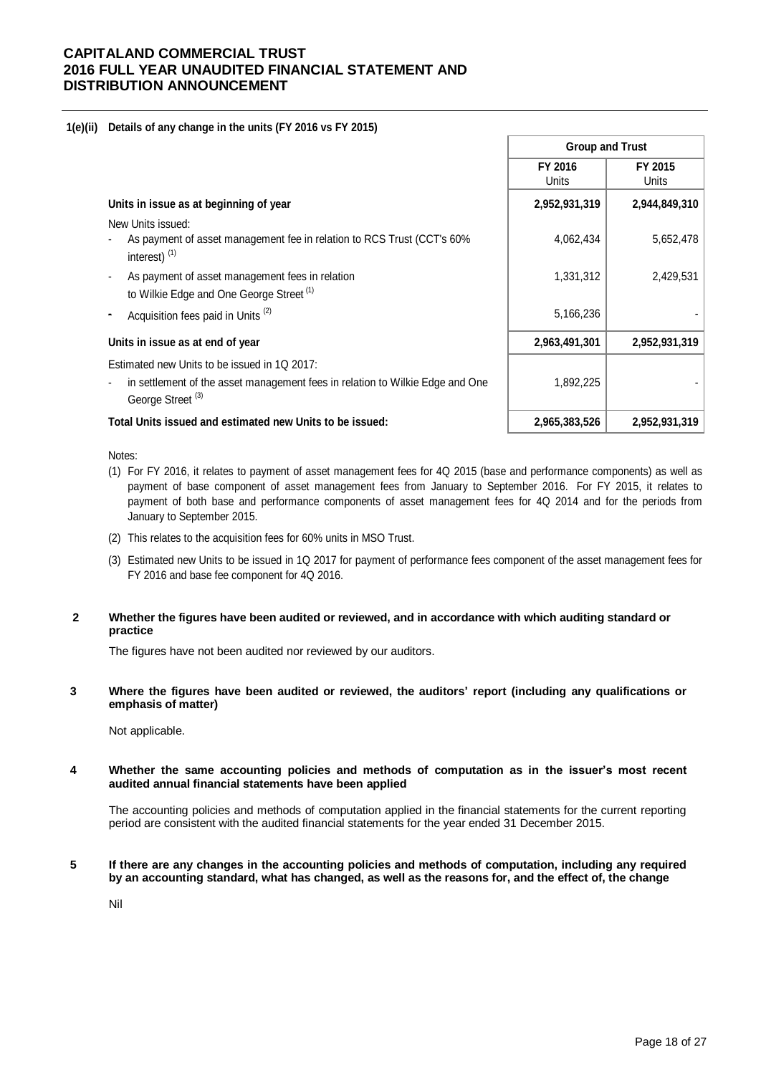## **1(e)(ii) Details of any change in the units (FY 2016 vs FY 2015)**

|                                                                                                               | <b>Group and Trust</b> |                  |  |  |
|---------------------------------------------------------------------------------------------------------------|------------------------|------------------|--|--|
|                                                                                                               | FY 2016<br>Units       | FY 2015<br>Units |  |  |
| Units in issue as at beginning of year                                                                        | 2,952,931,319          | 2,944,849,310    |  |  |
| New Units issued:                                                                                             |                        |                  |  |  |
| As payment of asset management fee in relation to RCS Trust (CCT's 60%<br>interest) $(1)$                     | 4,062,434              | 5,652,478        |  |  |
| As payment of asset management fees in relation                                                               | 1,331,312              | 2,429,531        |  |  |
| to Wilkie Edge and One George Street <sup>(1)</sup>                                                           |                        |                  |  |  |
| Acquisition fees paid in Units <sup>(2)</sup>                                                                 | 5,166,236              |                  |  |  |
| Units in issue as at end of year                                                                              | 2,963,491,301          | 2,952,931,319    |  |  |
| Estimated new Units to be issued in 1Q 2017:                                                                  |                        |                  |  |  |
| in settlement of the asset management fees in relation to Wilkie Edge and One<br>George Street <sup>(3)</sup> | 1,892,225              |                  |  |  |
| Total Units issued and estimated new Units to be issued:                                                      | 2,965,383,526          | 2,952,931,319    |  |  |

#### Notes:

- (1) For FY 2016, it relates to payment of asset management fees for 4Q 2015 (base and performance components) as well as payment of base component of asset management fees from January to September 2016. For FY 2015, it relates to payment of both base and performance components of asset management fees for 4Q 2014 and for the periods from January to September 2015.
- (2) This relates to the acquisition fees for 60% units in MSO Trust.
- (3) Estimated new Units to be issued in 1Q 2017 for payment of performance fees component of the asset management fees for FY 2016 and base fee component for 4Q 2016.

## **2 Whether the figures have been audited or reviewed, and in accordance with which auditing standard or practice**

The figures have not been audited nor reviewed by our auditors.

**3 Where the figures have been audited or reviewed, the auditors' report (including any qualifications or emphasis of matter)**

Not applicable.

#### **4 Whether the same accounting policies and methods of computation as in the issuer's most recent audited annual financial statements have been applied**

The accounting policies and methods of computation applied in the financial statements for the current reporting period are consistent with the audited financial statements for the year ended 31 December 2015.

### **5 If there are any changes in the accounting policies and methods of computation, including any required by an accounting standard, what has changed, as well as the reasons for, and the effect of, the change**

Nil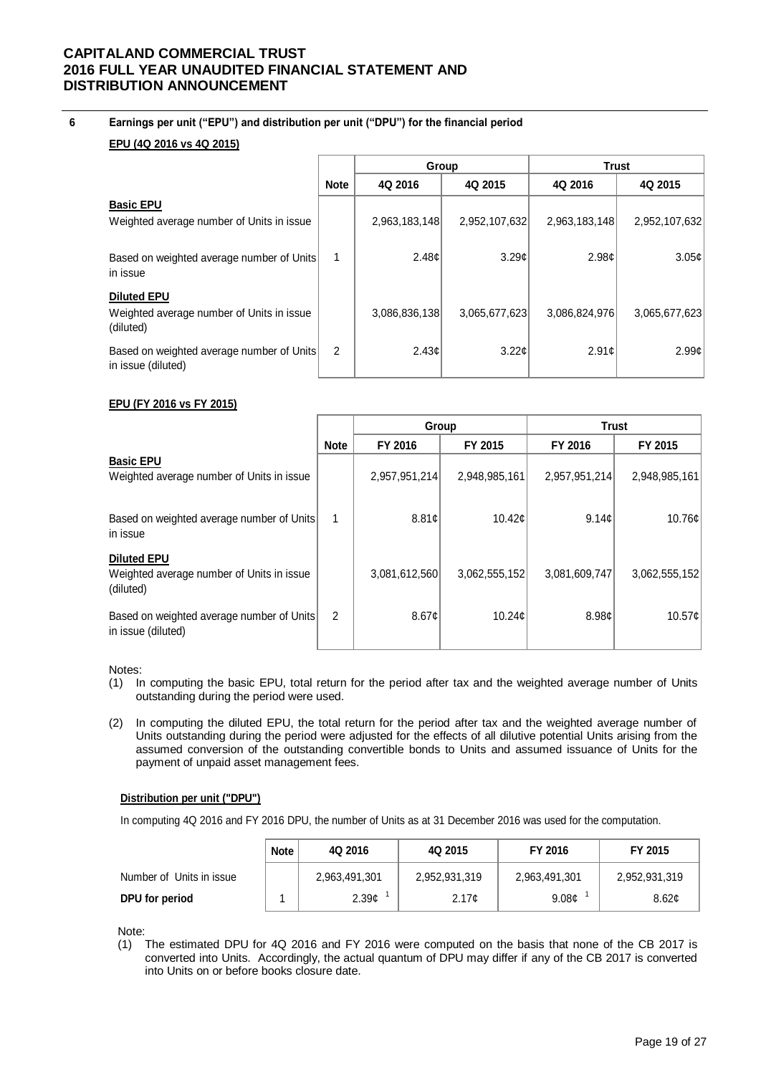**6 Earnings per unit ("EPU") and distribution per unit ("DPU") for the financial period**

## **EPU (4Q 2016 vs 4Q 2015)**

|                                                                              |             | Group         |               | <b>Trust</b>  |                   |
|------------------------------------------------------------------------------|-------------|---------------|---------------|---------------|-------------------|
|                                                                              | <b>Note</b> | 4Q 2016       | 4Q 2015       | 4Q 2016       | 4Q 2015           |
| <b>Basic EPU</b><br>Weighted average number of Units in issue                |             | 2,963,183,148 | 2,952,107,632 | 2,963,183,148 | 2,952,107,632     |
| Based on weighted average number of Units<br>in issue                        |             | 2.48c         | 3.29c         | 2.98c         | 3.05 <sub>c</sub> |
| <b>Diluted EPU</b><br>Weighted average number of Units in issue<br>(diluted) |             | 3,086,836,138 | 3,065,677,623 | 3,086,824,976 | 3,065,677,623     |
| Based on weighted average number of Units<br>in issue (diluted)              | 2           | 2.43c         | 3.22c         | 2.91c         | 2.99c             |

## **EPU (FY 2016 vs FY 2015)**

|                                                                              |             | Group         |               | <b>Trust</b>  |                    |
|------------------------------------------------------------------------------|-------------|---------------|---------------|---------------|--------------------|
|                                                                              | <b>Note</b> | FY 2016       | FY 2015       | FY 2016       | FY 2015            |
| <b>Basic EPU</b><br>Weighted average number of Units in issue                |             | 2,957,951,214 | 2,948,985,161 | 2,957,951,214 | 2,948,985,161      |
| Based on weighted average number of Units<br>in issue                        | 1           | 8.81c         | 10.42c        | 9.14c         | 10.76c             |
| <b>Diluted EPU</b><br>Weighted average number of Units in issue<br>(diluted) |             | 3,081,612,560 | 3,062,555,152 | 3,081,609,747 | 3,062,555,152      |
| Based on weighted average number of Units<br>in issue (diluted)              | 2           | 8.67c         | 10.24c        | 8.98c         | 10.57 <sub>¢</sub> |

Notes:

- (1) In computing the basic EPU, total return for the period after tax and the weighted average number of Units outstanding during the period were used.
- (2) In computing the diluted EPU, the total return for the period after tax and the weighted average number of Units outstanding during the period were adjusted for the effects of all dilutive potential Units arising from the assumed conversion of the outstanding convertible bonds to Units and assumed issuance of Units for the payment of unpaid asset management fees.

## **Distribution per unit ("DPU")**

In computing 4Q 2016 and FY 2016 DPU, the number of Units as at 31 December 2016 was used for the computation.

|                          | <b>Note</b> | 4Q 2016           | 4Q 2015           | FY 2016           | FY 2015       |  |
|--------------------------|-------------|-------------------|-------------------|-------------------|---------------|--|
| Number of Units in issue |             | 2,963,491,301     | 2,952,931,319     | 2,963,491,301     | 2,952,931,319 |  |
| DPU for period           |             | 2.39 <sub>¢</sub> | 2.17 <sub>c</sub> | 9.08 <sub>c</sub> | 8.62c         |  |

Note:

(1) The estimated DPU for 4Q 2016 and FY 2016 were computed on the basis that none of the CB 2017 is converted into Units. Accordingly, the actual quantum of DPU may differ if any of the CB 2017 is converted into Units on or before books closure date.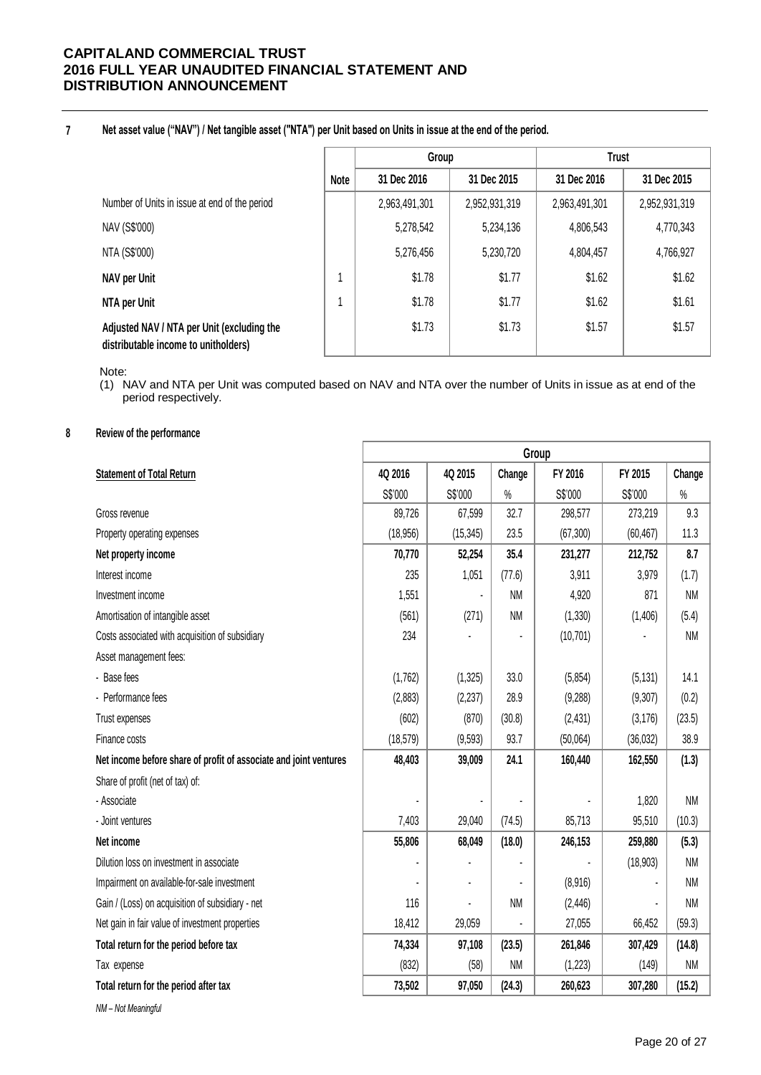#### **7 Net asset value ("NAV") / Net tangible asset ("NTA") per Unit based on Units in issue at the end of the period.**

|                                                                                    |      | Group         |               | <b>Trust</b>  |               |
|------------------------------------------------------------------------------------|------|---------------|---------------|---------------|---------------|
|                                                                                    | Note | 31 Dec 2016   | 31 Dec 2015   | 31 Dec 2016   | 31 Dec 2015   |
| Number of Units in issue at end of the period                                      |      | 2,963,491,301 | 2,952,931,319 | 2,963,491,301 | 2,952,931,319 |
| NAV (S\$'000)                                                                      |      | 5,278,542     | 5,234,136     | 4,806,543     | 4,770,343     |
| NTA (S\$'000)                                                                      |      | 5,276,456     | 5,230,720     | 4,804,457     | 4,766,927     |
| NAV per Unit                                                                       |      | \$1.78        | \$1.77        | \$1.62        | \$1.62        |
| NTA per Unit                                                                       |      | \$1.78        | \$1.77        | \$1.62        | \$1.61        |
| Adjusted NAV / NTA per Unit (excluding the<br>distributable income to unitholders) |      | \$1.73        | \$1.73        | \$1.57        | \$1.57        |

Note:

(1) NAV and NTA per Unit was computed based on NAV and NTA over the number of Units in issue as at end of the period respectively.

## **8 Review of the performance**

| 4Q 2016<br>4Q 2015<br>Change<br>FY 2016<br>FY 2015<br>Change<br><b>Statement of Total Return</b><br>S\$'000<br>S\$'000<br>S\$'000<br>$\%$<br>S\$'000<br>$\%$<br>32.7<br>9.3<br>89,726<br>67,599<br>298,577<br>273,219<br>Gross revenue<br>23.5<br>11.3<br>(18, 956)<br>(15, 345)<br>(67, 300)<br>(60, 467)<br>Property operating expenses<br>70,770<br>35.4<br>231,277<br>8.7<br>52,254<br>212,752<br>Net property income<br>235<br>1,051<br>Interest income<br>(77.6)<br>3,911<br>(1.7)<br>3,979<br><b>NM</b><br>Investment income<br>1,551<br>4,920<br>871<br><b>NM</b><br>$\blacksquare$<br><b>NM</b><br>Amortisation of intangible asset<br>(561)<br>(271)<br>(1, 330)<br>(1,406)<br>(5.4) |                                                 | Group |  |  |           |  |           |
|------------------------------------------------------------------------------------------------------------------------------------------------------------------------------------------------------------------------------------------------------------------------------------------------------------------------------------------------------------------------------------------------------------------------------------------------------------------------------------------------------------------------------------------------------------------------------------------------------------------------------------------------------------------------------------------------|-------------------------------------------------|-------|--|--|-----------|--|-----------|
|                                                                                                                                                                                                                                                                                                                                                                                                                                                                                                                                                                                                                                                                                                |                                                 |       |  |  |           |  |           |
|                                                                                                                                                                                                                                                                                                                                                                                                                                                                                                                                                                                                                                                                                                |                                                 |       |  |  |           |  |           |
|                                                                                                                                                                                                                                                                                                                                                                                                                                                                                                                                                                                                                                                                                                |                                                 |       |  |  |           |  |           |
|                                                                                                                                                                                                                                                                                                                                                                                                                                                                                                                                                                                                                                                                                                |                                                 |       |  |  |           |  |           |
|                                                                                                                                                                                                                                                                                                                                                                                                                                                                                                                                                                                                                                                                                                |                                                 |       |  |  |           |  |           |
|                                                                                                                                                                                                                                                                                                                                                                                                                                                                                                                                                                                                                                                                                                |                                                 |       |  |  |           |  |           |
|                                                                                                                                                                                                                                                                                                                                                                                                                                                                                                                                                                                                                                                                                                |                                                 |       |  |  |           |  |           |
|                                                                                                                                                                                                                                                                                                                                                                                                                                                                                                                                                                                                                                                                                                |                                                 |       |  |  |           |  |           |
|                                                                                                                                                                                                                                                                                                                                                                                                                                                                                                                                                                                                                                                                                                | Costs associated with acquisition of subsidiary | 234   |  |  | (10, 701) |  | <b>NM</b> |
| Asset management fees:                                                                                                                                                                                                                                                                                                                                                                                                                                                                                                                                                                                                                                                                         |                                                 |       |  |  |           |  |           |
| - Base fees<br>(1,762)<br>33.0<br>14.1<br>(1, 325)<br>(5, 854)<br>(5, 131)                                                                                                                                                                                                                                                                                                                                                                                                                                                                                                                                                                                                                     |                                                 |       |  |  |           |  |           |
| 28.9<br>(0.2)<br>- Performance fees<br>(2,883)<br>(2, 237)<br>(9, 288)<br>(9,307)                                                                                                                                                                                                                                                                                                                                                                                                                                                                                                                                                                                                              |                                                 |       |  |  |           |  |           |
| (602)<br>(870)<br>(30.8)<br>(23.5)<br>Trust expenses<br>(2, 431)<br>(3, 176)                                                                                                                                                                                                                                                                                                                                                                                                                                                                                                                                                                                                                   |                                                 |       |  |  |           |  |           |
| 38.9<br>(18, 579)<br>93.7<br>(36, 032)<br>Finance costs<br>(9, 593)<br>(50,064)                                                                                                                                                                                                                                                                                                                                                                                                                                                                                                                                                                                                                |                                                 |       |  |  |           |  |           |
| 24.1<br>Net income before share of profit of associate and joint ventures<br>48,403<br>(1.3)<br>39,009<br>160,440<br>162,550                                                                                                                                                                                                                                                                                                                                                                                                                                                                                                                                                                   |                                                 |       |  |  |           |  |           |
| Share of profit (net of tax) of:                                                                                                                                                                                                                                                                                                                                                                                                                                                                                                                                                                                                                                                               |                                                 |       |  |  |           |  |           |
| 1,820<br><b>NM</b><br>- Associate<br>ä,                                                                                                                                                                                                                                                                                                                                                                                                                                                                                                                                                                                                                                                        |                                                 |       |  |  |           |  |           |
| 7,403<br>85,713<br>(10.3)<br>- Joint ventures<br>29,040<br>(74.5)<br>95,510                                                                                                                                                                                                                                                                                                                                                                                                                                                                                                                                                                                                                    |                                                 |       |  |  |           |  |           |
| Net income<br>55,806<br>68,049<br>(18.0)<br>246,153<br>259,880<br>(5.3)                                                                                                                                                                                                                                                                                                                                                                                                                                                                                                                                                                                                                        |                                                 |       |  |  |           |  |           |
| Dilution loss on investment in associate<br><b>NM</b><br>(18, 903)                                                                                                                                                                                                                                                                                                                                                                                                                                                                                                                                                                                                                             |                                                 |       |  |  |           |  |           |
| Impairment on available-for-sale investment<br>(8,916)<br>NM                                                                                                                                                                                                                                                                                                                                                                                                                                                                                                                                                                                                                                   |                                                 |       |  |  |           |  |           |
| 116<br><b>NM</b><br><b>NM</b><br>Gain / (Loss) on acquisition of subsidiary - net<br>(2, 446)                                                                                                                                                                                                                                                                                                                                                                                                                                                                                                                                                                                                  |                                                 |       |  |  |           |  |           |
| Net gain in fair value of investment properties<br>18,412<br>(59.3)<br>29,059<br>27,055<br>66,452                                                                                                                                                                                                                                                                                                                                                                                                                                                                                                                                                                                              |                                                 |       |  |  |           |  |           |
| 74,334<br>Total return for the period before tax<br>97,108<br>(23.5)<br>261,846<br>307,429<br>(14.8)                                                                                                                                                                                                                                                                                                                                                                                                                                                                                                                                                                                           |                                                 |       |  |  |           |  |           |
| (832)<br><b>NM</b><br><b>NM</b><br>(58)<br>(1,223)<br>(149)<br>Tax expense                                                                                                                                                                                                                                                                                                                                                                                                                                                                                                                                                                                                                     |                                                 |       |  |  |           |  |           |
| 73,502<br>97,050<br>(24.3)<br>(15.2)<br>Total return for the period after tax<br>260,623<br>307,280                                                                                                                                                                                                                                                                                                                                                                                                                                                                                                                                                                                            |                                                 |       |  |  |           |  |           |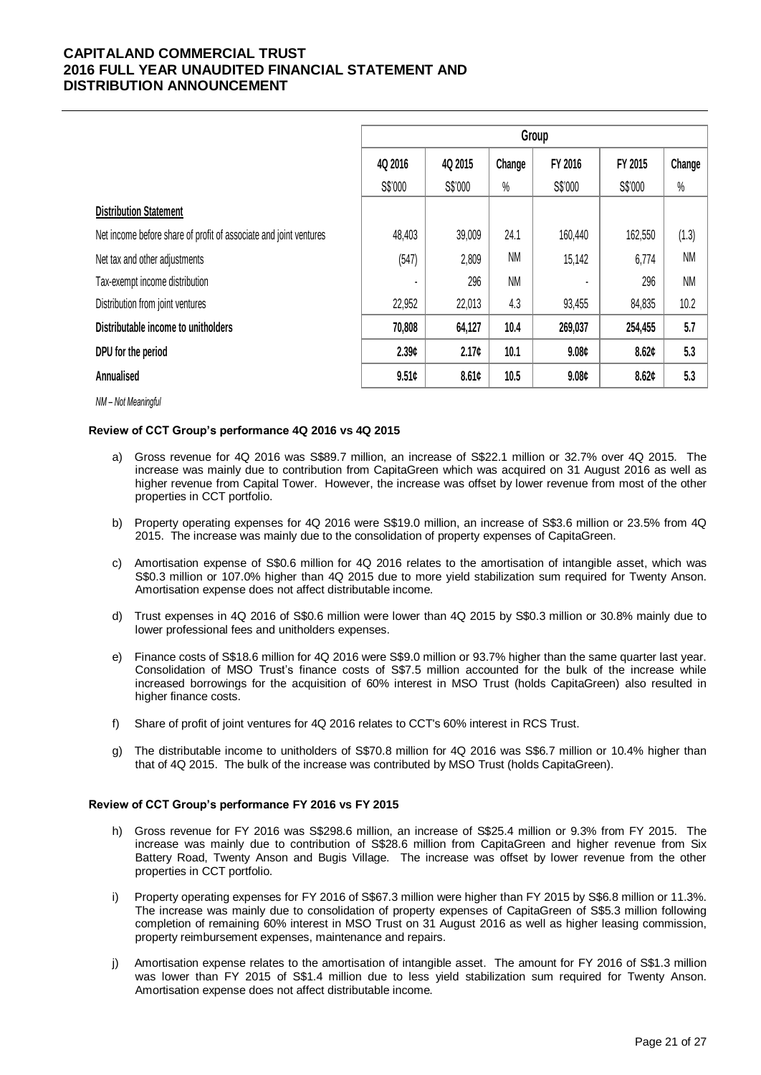|                                                                   | Group   |         |           |                   |         |           |  |  |
|-------------------------------------------------------------------|---------|---------|-----------|-------------------|---------|-----------|--|--|
|                                                                   | 4Q 2016 | 4Q 2015 | Change    | FY 2016           | FY 2015 | Change    |  |  |
|                                                                   | S\$'000 | S\$'000 | $\%$      | S\$'000           | S\$'000 | $\%$      |  |  |
| <b>Distribution Statement</b>                                     |         |         |           |                   |         |           |  |  |
| Net income before share of profit of associate and joint ventures | 48,403  | 39,009  | 24.1      | 160,440           | 162,550 | (1.3)     |  |  |
| Net tax and other adjustments                                     | (547)   | 2,809   | <b>NM</b> | 15,142            | 6,774   | <b>NM</b> |  |  |
| Tax-exempt income distribution                                    |         | 296     | <b>NM</b> |                   | 296     | <b>NM</b> |  |  |
| Distribution from joint ventures                                  | 22,952  | 22,013  | 4.3       | 93,455            | 84,835  | 10.2      |  |  |
| Distributable income to unitholders                               | 70,808  | 64,127  | 10.4      | 269,037           | 254,455 | 5.7       |  |  |
| DPU for the period                                                | 2.39c   | 2.17c   | 10.1      | 9.08c             | 8.62c   | 5.3       |  |  |
| Annualised                                                        | 9.51c   | 8.61c   | 10.5      | 9.08 <sub>c</sub> | 8.62c   | 5.3       |  |  |

*NM – Not Meaningful*

## **Review of CCT Group's performance 4Q 2016 vs 4Q 2015**

- a) Gross revenue for 4Q 2016 was S\$89.7 million, an increase of S\$22.1 million or 32.7% over 4Q 2015. The increase was mainly due to contribution from CapitaGreen which was acquired on 31 August 2016 as well as higher revenue from Capital Tower. However, the increase was offset by lower revenue from most of the other properties in CCT portfolio.
- b) Property operating expenses for 4Q 2016 were S\$19.0 million, an increase of S\$3.6 million or 23.5% from 4Q 2015. The increase was mainly due to the consolidation of property expenses of CapitaGreen.
- c) Amortisation expense of S\$0.6 million for 4Q 2016 relates to the amortisation of intangible asset, which was S\$0.3 million or 107.0% higher than 4Q 2015 due to more yield stabilization sum required for Twenty Anson. Amortisation expense does not affect distributable income.
- d) Trust expenses in 4Q 2016 of S\$0.6 million were lower than 4Q 2015 by S\$0.3 million or 30.8% mainly due to lower professional fees and unitholders expenses.
- e) Finance costs of S\$18.6 million for 4Q 2016 were S\$9.0 million or 93.7% higher than the same quarter last year. Consolidation of MSO Trust's finance costs of S\$7.5 million accounted for the bulk of the increase while increased borrowings for the acquisition of 60% interest in MSO Trust (holds CapitaGreen) also resulted in higher finance costs.
- f) Share of profit of joint ventures for 4Q 2016 relates to CCT's 60% interest in RCS Trust.
- g) The distributable income to unitholders of S\$70.8 million for 4Q 2016 was S\$6.7 million or 10.4% higher than that of 4Q 2015. The bulk of the increase was contributed by MSO Trust (holds CapitaGreen).

#### **Review of CCT Group's performance FY 2016 vs FY 2015**

- h) Gross revenue for FY 2016 was S\$298.6 million, an increase of S\$25.4 million or 9.3% from FY 2015. The increase was mainly due to contribution of S\$28.6 million from CapitaGreen and higher revenue from Six Battery Road, Twenty Anson and Bugis Village. The increase was offset by lower revenue from the other properties in CCT portfolio.
- i) Property operating expenses for FY 2016 of S\$67.3 million were higher than FY 2015 by S\$6.8 million or 11.3%. The increase was mainly due to consolidation of property expenses of CapitaGreen of S\$5.3 million following completion of remaining 60% interest in MSO Trust on 31 August 2016 as well as higher leasing commission, property reimbursement expenses, maintenance and repairs.
- j) Amortisation expense relates to the amortisation of intangible asset. The amount for FY 2016 of S\$1.3 million was lower than FY 2015 of S\$1.4 million due to less yield stabilization sum required for Twenty Anson. Amortisation expense does not affect distributable income.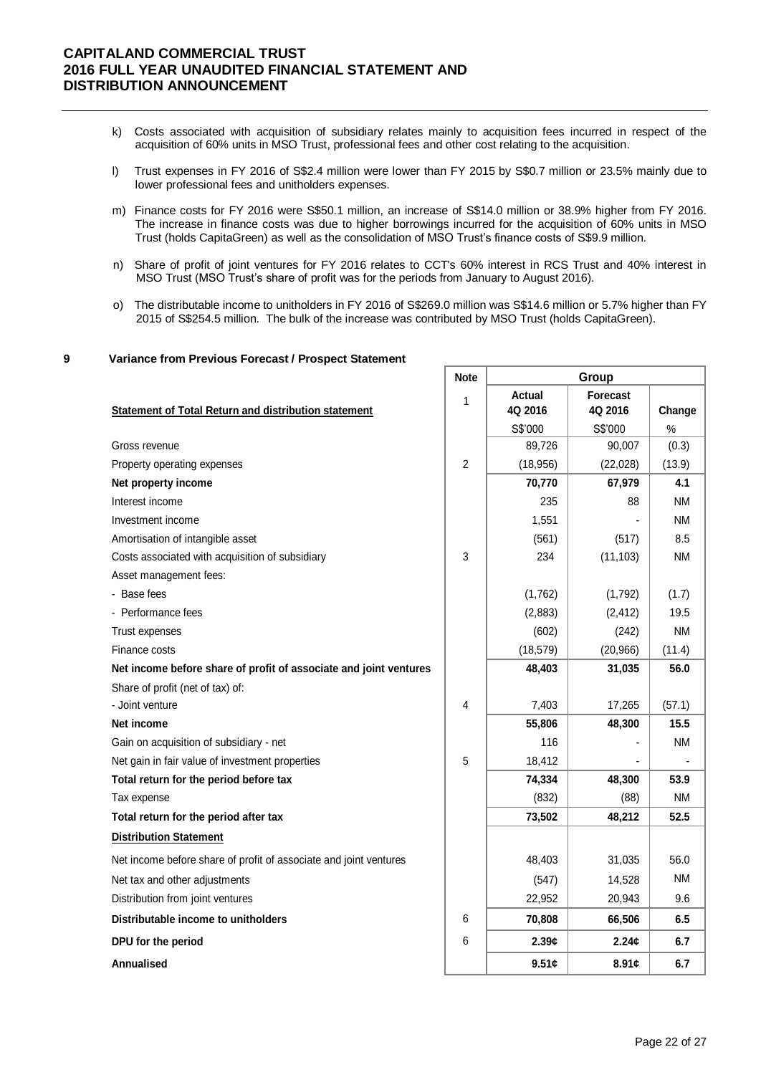- k) Costs associated with acquisition of subsidiary relates mainly to acquisition fees incurred in respect of the acquisition of 60% units in MSO Trust, professional fees and other cost relating to the acquisition.
- l) Trust expenses in FY 2016 of S\$2.4 million were lower than FY 2015 by S\$0.7 million or 23.5% mainly due to lower professional fees and unitholders expenses.
- m) Finance costs for FY 2016 were S\$50.1 million, an increase of S\$14.0 million or 38.9% higher from FY 2016. The increase in finance costs was due to higher borrowings incurred for the acquisition of 60% units in MSO Trust (holds CapitaGreen) as well as the consolidation of MSO Trust's finance costs of S\$9.9 million.
- n) Share of profit of joint ventures for FY 2016 relates to CCT's 60% interest in RCS Trust and 40% interest in MSO Trust (MSO Trust's share of profit was for the periods from January to August 2016).
- o) The distributable income to unitholders in FY 2016 of S\$269.0 million was S\$14.6 million or 5.7% higher than FY 2015 of S\$254.5 million. The bulk of the increase was contributed by MSO Trust (holds CapitaGreen).

### **9 Variance from Previous Forecast / Prospect Statement**

|                                                                   | <b>Note</b>    | Group         |                 |           |  |
|-------------------------------------------------------------------|----------------|---------------|-----------------|-----------|--|
|                                                                   | $\mathbf{1}$   | <b>Actual</b> | <b>Forecast</b> |           |  |
| <b>Statement of Total Return and distribution statement</b>       |                | 4Q 2016       | 4Q 2016         | Change    |  |
|                                                                   |                | S\$'000       | S\$'000         | $\%$      |  |
| Gross revenue                                                     |                | 89,726        | 90,007          | (0.3)     |  |
| Property operating expenses                                       | $\overline{2}$ | (18, 956)     | (22,028)        | (13.9)    |  |
| Net property income                                               |                | 70,770        | 67,979          | 4.1       |  |
| Interest income                                                   |                | 235           | 88              | <b>NM</b> |  |
| Investment income                                                 |                | 1,551         |                 | <b>NM</b> |  |
| Amortisation of intangible asset                                  |                | (561)         | (517)           | 8.5       |  |
| Costs associated with acquisition of subsidiary                   | 3              | 234           | (11, 103)       | <b>NM</b> |  |
| Asset management fees:                                            |                |               |                 |           |  |
| - Base fees                                                       |                | (1,762)       | (1,792)         | (1.7)     |  |
| - Performance fees                                                |                | (2,883)       | (2, 412)        | 19.5      |  |
| Trust expenses                                                    |                | (602)         | (242)           | <b>NM</b> |  |
| Finance costs                                                     |                | (18, 579)     | (20, 966)       | (11.4)    |  |
| Net income before share of profit of associate and joint ventures |                | 48,403        | 31,035          | 56.0      |  |
| Share of profit (net of tax) of:                                  |                |               |                 |           |  |
| - Joint venture                                                   | 4              | 7,403         | 17,265          | (57.1)    |  |
| Net income                                                        |                | 55,806        | 48,300          | 15.5      |  |
| Gain on acquisition of subsidiary - net                           |                | 116           |                 | <b>NM</b> |  |
| Net gain in fair value of investment properties                   | 5              | 18,412        |                 |           |  |
| Total return for the period before tax                            |                | 74,334        | 48,300          | 53.9      |  |
| Tax expense                                                       |                | (832)         | (88)            | <b>NM</b> |  |
| Total return for the period after tax                             |                | 73,502        | 48,212          | 52.5      |  |
| <b>Distribution Statement</b>                                     |                |               |                 |           |  |
| Net income before share of profit of associate and joint ventures |                | 48,403        | 31,035          | 56.0      |  |
| Net tax and other adjustments                                     |                | (547)         | 14,528          | <b>NM</b> |  |
| Distribution from joint ventures                                  |                | 22,952        | 20,943          | 9.6       |  |
| Distributable income to unitholders                               | 6              | 70,808        | 66,506          | 6.5       |  |
| DPU for the period                                                | 6              | 2.39c         | 2.24c           | 6.7       |  |
| Annualised                                                        |                | 9.51c         | 8.91c           | 6.7       |  |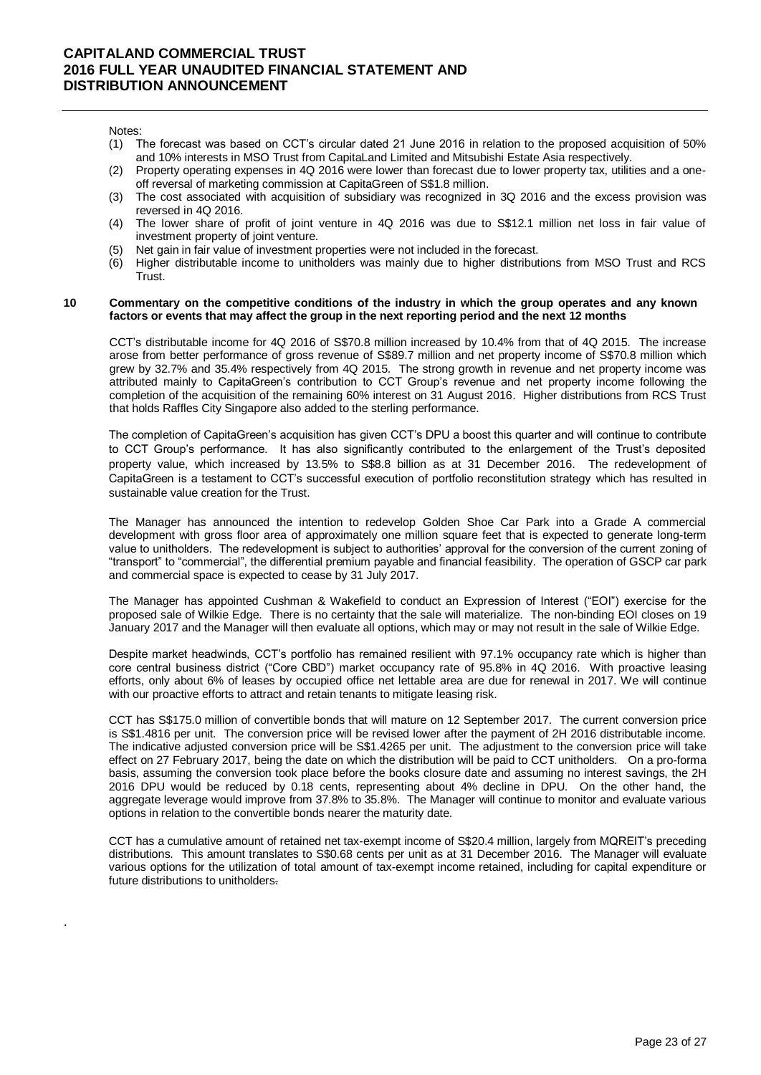Notes:

.

- (1) The forecast was based on CCT's circular dated 21 June 2016 in relation to the proposed acquisition of 50% and 10% interests in MSO Trust from CapitaLand Limited and Mitsubishi Estate Asia respectively.
- (2) Property operating expenses in 4Q 2016 were lower than forecast due to lower property tax, utilities and a oneoff reversal of marketing commission at CapitaGreen of S\$1.8 million.
- (3) The cost associated with acquisition of subsidiary was recognized in 3Q 2016 and the excess provision was reversed in 4Q 2016.
- (4) The lower share of profit of joint venture in 4Q 2016 was due to S\$12.1 million net loss in fair value of investment property of joint venture.
- (5) Net gain in fair value of investment properties were not included in the forecast.
- (6) Higher distributable income to unitholders was mainly due to higher distributions from MSO Trust and RCS Trust.

#### **10 Commentary on the competitive conditions of the industry in which the group operates and any known factors or events that may affect the group in the next reporting period and the next 12 months**

CCT's distributable income for 4Q 2016 of S\$70.8 million increased by 10.4% from that of 4Q 2015. The increase arose from better performance of gross revenue of S\$89.7 million and net property income of S\$70.8 million which grew by 32.7% and 35.4% respectively from 4Q 2015. The strong growth in revenue and net property income was attributed mainly to CapitaGreen's contribution to CCT Group's revenue and net property income following the completion of the acquisition of the remaining 60% interest on 31 August 2016. Higher distributions from RCS Trust that holds Raffles City Singapore also added to the sterling performance.

The completion of CapitaGreen's acquisition has given CCT's DPU a boost this quarter and will continue to contribute to CCT Group's performance. It has also significantly contributed to the enlargement of the Trust's deposited property value, which increased by 13.5% to S\$8.8 billion as at 31 December 2016. The redevelopment of CapitaGreen is a testament to CCT's successful execution of portfolio reconstitution strategy which has resulted in sustainable value creation for the Trust.

The Manager has announced the intention to redevelop Golden Shoe Car Park into a Grade A commercial development with gross floor area of approximately one million square feet that is expected to generate long-term value to unitholders. The redevelopment is subject to authorities' approval for the conversion of the current zoning of "transport" to "commercial", the differential premium payable and financial feasibility. The operation of GSCP car park and commercial space is expected to cease by 31 July 2017.

The Manager has appointed Cushman & Wakefield to conduct an Expression of Interest ("EOI") exercise for the proposed sale of Wilkie Edge. There is no certainty that the sale will materialize. The non-binding EOI closes on 19 January 2017 and the Manager will then evaluate all options, which may or may not result in the sale of Wilkie Edge.

Despite market headwinds, CCT's portfolio has remained resilient with 97.1% occupancy rate which is higher than core central business district ("Core CBD") market occupancy rate of 95.8% in 4Q 2016. With proactive leasing efforts, only about 6% of leases by occupied office net lettable area are due for renewal in 2017. We will continue with our proactive efforts to attract and retain tenants to mitigate leasing risk.

CCT has S\$175.0 million of convertible bonds that will mature on 12 September 2017. The current conversion price is S\$1.4816 per unit. The conversion price will be revised lower after the payment of 2H 2016 distributable income. The indicative adjusted conversion price will be S\$1.4265 per unit. The adjustment to the conversion price will take effect on 27 February 2017, being the date on which the distribution will be paid to CCT unitholders. On a pro-forma basis, assuming the conversion took place before the books closure date and assuming no interest savings, the 2H 2016 DPU would be reduced by 0.18 cents, representing about 4% decline in DPU. On the other hand, the aggregate leverage would improve from 37.8% to 35.8%. The Manager will continue to monitor and evaluate various options in relation to the convertible bonds nearer the maturity date.

CCT has a cumulative amount of retained net tax-exempt income of S\$20.4 million, largely from MQREIT's preceding distributions. This amount translates to S\$0.68 cents per unit as at 31 December 2016. The Manager will evaluate various options for the utilization of total amount of tax-exempt income retained, including for capital expenditure or future distributions to unitholders.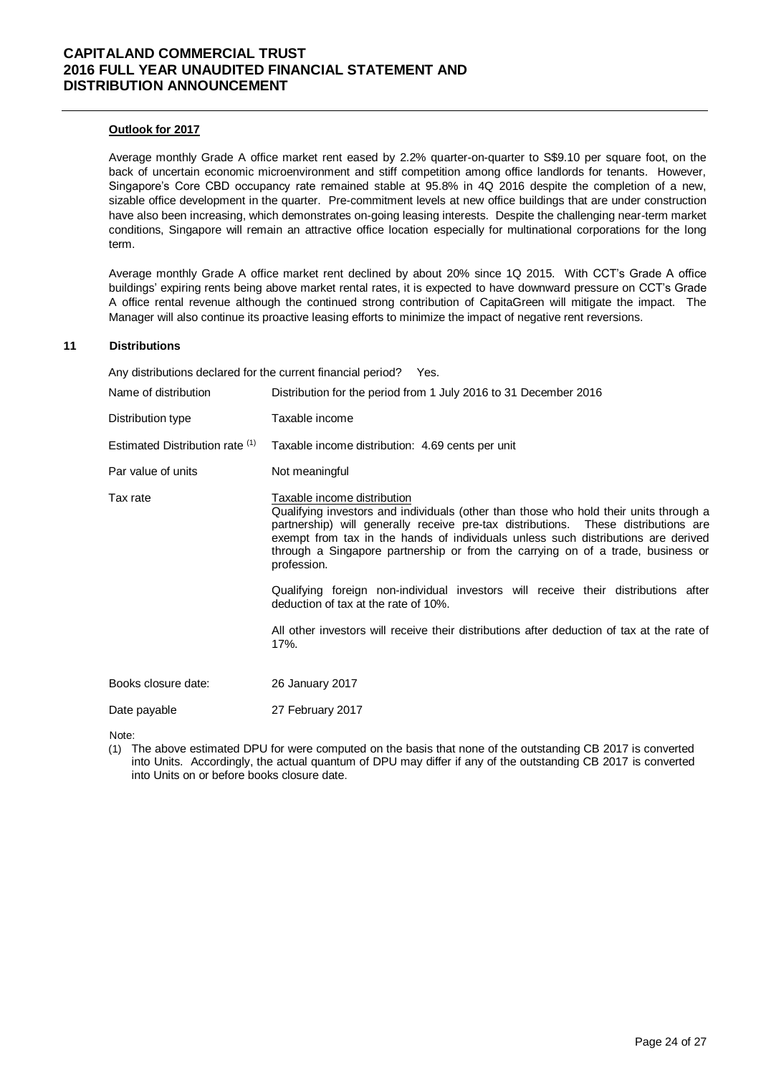### **Outlook for 2017**

Average monthly Grade A office market rent eased by 2.2% quarter-on-quarter to S\$9.10 per square foot, on the back of uncertain economic microenvironment and stiff competition among office landlords for tenants. However, Singapore's Core CBD occupancy rate remained stable at 95.8% in 4Q 2016 despite the completion of a new, sizable office development in the quarter. Pre-commitment levels at new office buildings that are under construction have also been increasing, which demonstrates on-going leasing interests. Despite the challenging near-term market conditions, Singapore will remain an attractive office location especially for multinational corporations for the long term.

Average monthly Grade A office market rent declined by about 20% since 1Q 2015. With CCT's Grade A office buildings' expiring rents being above market rental rates, it is expected to have downward pressure on CCT's Grade A office rental revenue although the continued strong contribution of CapitaGreen will mitigate the impact. The Manager will also continue its proactive leasing efforts to minimize the impact of negative rent reversions.

## **11 Distributions**

Any distributions declared for the current financial period? Yes.

| Name of distribution            | Distribution for the period from 1 July 2016 to 31 December 2016                                                                                                                                                                                                                                                                                                                                  |
|---------------------------------|---------------------------------------------------------------------------------------------------------------------------------------------------------------------------------------------------------------------------------------------------------------------------------------------------------------------------------------------------------------------------------------------------|
| Distribution type               | Taxable income                                                                                                                                                                                                                                                                                                                                                                                    |
| Estimated Distribution rate (1) | Taxable income distribution: 4.69 cents per unit                                                                                                                                                                                                                                                                                                                                                  |
| Par value of units              | Not meaningful                                                                                                                                                                                                                                                                                                                                                                                    |
| Tax rate                        | Taxable income distribution<br>Qualifying investors and individuals (other than those who hold their units through a<br>partnership) will generally receive pre-tax distributions. These distributions are<br>exempt from tax in the hands of individuals unless such distributions are derived<br>through a Singapore partnership or from the carrying on of a trade, business or<br>profession. |
|                                 | Qualifying foreign non-individual investors will receive their distributions after<br>deduction of tax at the rate of 10%.                                                                                                                                                                                                                                                                        |
|                                 | All other investors will receive their distributions after deduction of tax at the rate of<br>17%.                                                                                                                                                                                                                                                                                                |
| Books closure date:             | 26 January 2017                                                                                                                                                                                                                                                                                                                                                                                   |
| Date payable                    | 27 February 2017                                                                                                                                                                                                                                                                                                                                                                                  |
| Nloto:                          |                                                                                                                                                                                                                                                                                                                                                                                                   |

Note:

(1) The above estimated DPU for were computed on the basis that none of the outstanding CB 2017 is converted into Units. Accordingly, the actual quantum of DPU may differ if any of the outstanding CB 2017 is converted into Units on or before books closure date.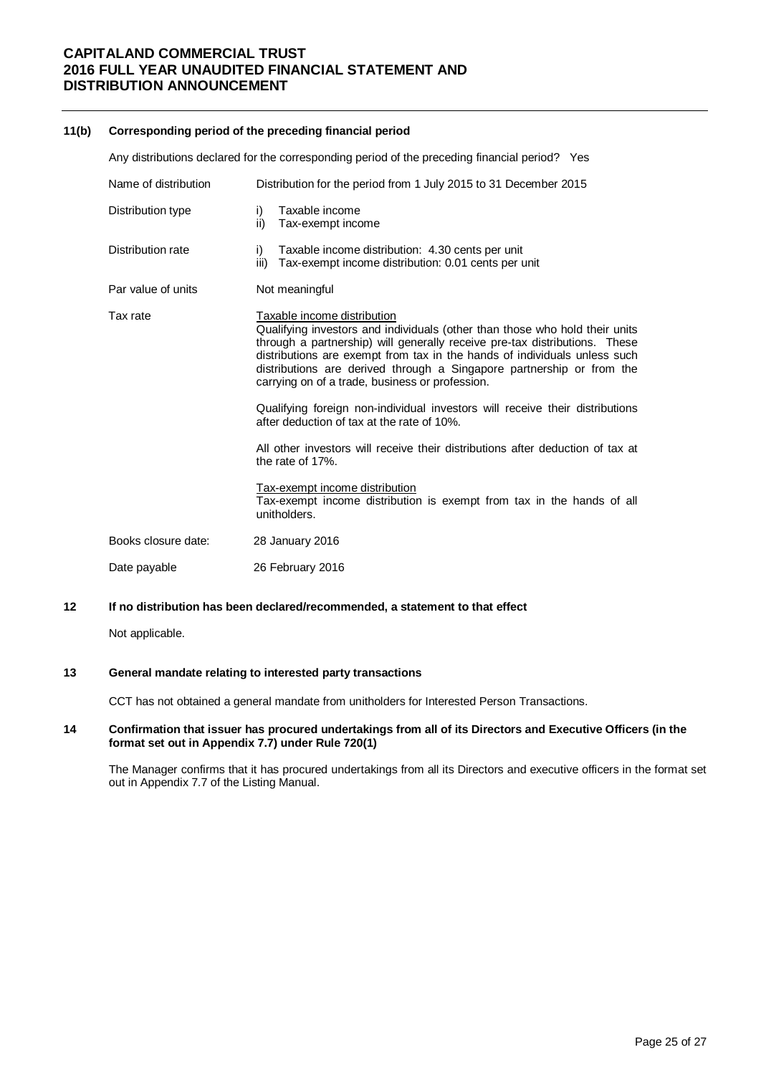#### **11(b) Corresponding period of the preceding financial period**

Any distributions declared for the corresponding period of the preceding financial period? Yes Name of distribution Distribution for the period from 1 July 2015 to 31 December 2015 Distribution type i) Taxable income ii) Tax-exempt income Distribution rate i) Taxable income distribution: 4.30 cents per unit iii) Tax-exempt income distribution: 0.01 cents per unit Par value of units Not meaningful Tax rate Taxable income distribution Qualifying investors and individuals (other than those who hold their units through a partnership) will generally receive pre-tax distributions. These distributions are exempt from tax in the hands of individuals unless such distributions are derived through a Singapore partnership or from the carrying on of a trade, business or profession. Qualifying foreign non-individual investors will receive their distributions after deduction of tax at the rate of 10%. All other investors will receive their distributions after deduction of tax at the rate of 17%. Tax-exempt income distribution Tax-exempt income distribution is exempt from tax in the hands of all unitholders. Books closure date: 28 January 2016 Date payable 26 February 2016

## **12 If no distribution has been declared/recommended, a statement to that effect**

Not applicable.

#### **13 General mandate relating to interested party transactions**

CCT has not obtained a general mandate from unitholders for Interested Person Transactions.

#### **14 Confirmation that issuer has procured undertakings from all of its Directors and Executive Officers (in the format set out in Appendix 7.7) under Rule 720(1)**

The Manager confirms that it has procured undertakings from all its Directors and executive officers in the format set out in Appendix 7.7 of the Listing Manual.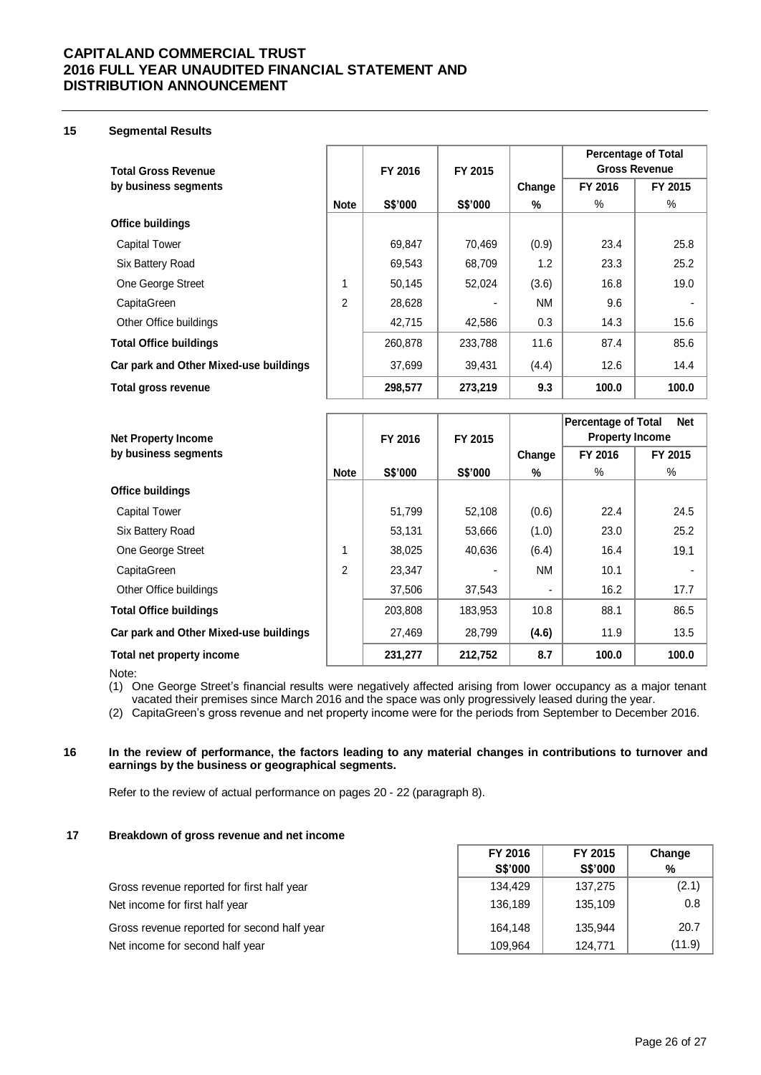## **15 Segmental Results**

|                                        |               |         |         |        | <b>Percentage of Total</b> |         |
|----------------------------------------|---------------|---------|---------|--------|----------------------------|---------|
| <b>Total Gross Revenue</b>             |               | FY 2016 | FY 2015 |        | <b>Gross Revenue</b>       |         |
| by business segments                   |               |         |         | Change | FY 2016                    | FY 2015 |
|                                        | <b>Note</b>   | S\$'000 | S\$'000 | %      | $\%$                       | %       |
| <b>Office buildings</b>                |               |         |         |        |                            |         |
| <b>Capital Tower</b>                   |               | 69,847  | 70,469  | (0.9)  | 23.4                       | 25.8    |
| Six Battery Road                       |               | 69,543  | 68,709  | 1.2    | 23.3                       | 25.2    |
| One George Street                      | 1             | 50,145  | 52,024  | (3.6)  | 16.8                       | 19.0    |
| CapitaGreen                            | $\mathcal{P}$ | 28,628  |         | NM     | 9.6                        |         |
| Other Office buildings                 |               | 42,715  | 42.586  | 0.3    | 14.3                       | 15.6    |
| <b>Total Office buildings</b>          |               | 260,878 | 233,788 | 11.6   | 87.4                       | 85.6    |
| Car park and Other Mixed-use buildings |               | 37,699  | 39,431  | (4.4)  | 12.6                       | 14.4    |
| Total gross revenue                    |               | 298,577 | 273,219 | 9.3    | 100.0                      | 100.0   |

| <b>Net Property Income</b>             |                | FY 2016 | FY 2015 |                | <b>Percentage of Total</b><br><b>Property Income</b> | <b>Net</b> |
|----------------------------------------|----------------|---------|---------|----------------|------------------------------------------------------|------------|
| by business segments                   |                |         |         | Change         | FY 2016                                              | FY 2015    |
|                                        | <b>Note</b>    | S\$'000 | S\$'000 | %              | %                                                    | %          |
| <b>Office buildings</b>                |                |         |         |                |                                                      |            |
| <b>Capital Tower</b>                   |                | 51,799  | 52,108  | (0.6)          | 22.4                                                 | 24.5       |
| Six Battery Road                       |                | 53,131  | 53,666  | (1.0)          | 23.0                                                 | 25.2       |
| One George Street                      | 1              | 38,025  | 40,636  | (6.4)          | 16.4                                                 | 19.1       |
| CapitaGreen                            | $\overline{2}$ | 23,347  |         | <b>NM</b>      | 10.1                                                 |            |
| Other Office buildings                 |                | 37,506  | 37,543  | $\blacksquare$ | 16.2                                                 | 17.7       |
| <b>Total Office buildings</b>          |                | 203,808 | 183,953 | 10.8           | 88.1                                                 | 86.5       |
| Car park and Other Mixed-use buildings |                | 27,469  | 28,799  | (4.6)          | 11.9                                                 | 13.5       |
| Total net property income              |                | 231,277 | 212,752 | 8.7            | 100.0                                                | 100.0      |

Note:

(1) One George Street's financial results were negatively affected arising from lower occupancy as a major tenant vacated their premises since March 2016 and the space was only progressively leased during the year.

(2) CapitaGreen's gross revenue and net property income were for the periods from September to December 2016.

### **16 In the review of performance, the factors leading to any material changes in contributions to turnover and earnings by the business or geographical segments.**

Refer to the review of actual performance on pages 20 - 22 (paragraph 8).

## **17 Breakdown of gross revenue and net income**

|                                             | FY 2016        | FY 2015        | Change |
|---------------------------------------------|----------------|----------------|--------|
|                                             | <b>S\$'000</b> | <b>S\$'000</b> | %      |
| Gross revenue reported for first half year  | 134,429        | 137,275        | (2.1)  |
| Net income for first half year              | 136,189        | 135,109        | 0.8    |
| Gross revenue reported for second half year | 164.148        | 135.944        | 20.7   |
| Net income for second half year             | 109.964        | 124.771        | (11.9) |